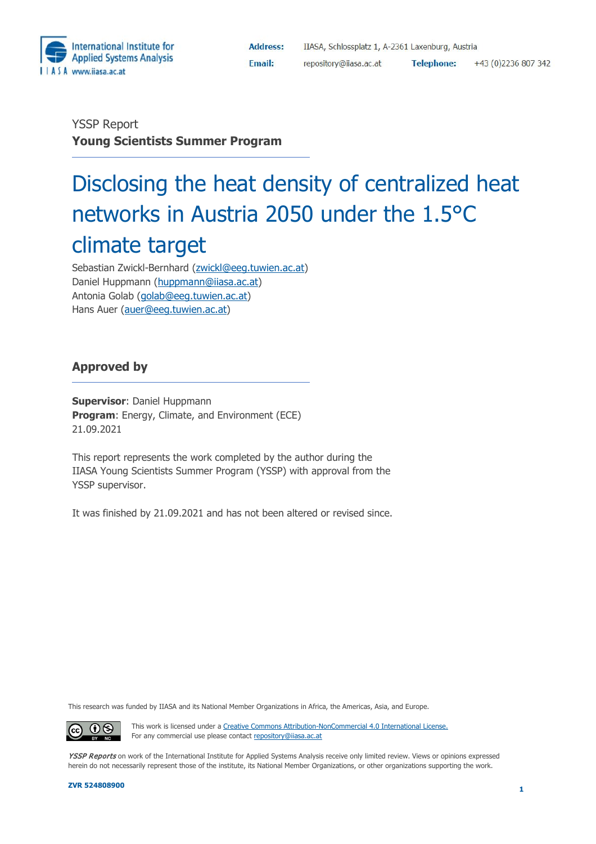

**Address: Email:** 

YSSP Report **Young Scientists Summer Program**

# Disclosing the heat density of centralized heat networks in Austria 2050 under the 1.5°C climate target

Sebastian Zwickl-Bernhard [\(zwickl@eeg.tuwien.ac.at\)](mailto:zwickl@eeg.tuwien.ac.at) Daniel Huppmann [\(huppmann@iiasa.ac.at\)](mailto:huppmann@iiasa.ac.at) Antonia Golab [\(golab@eeg.tuwien.ac.at\)](mailto:golab@eeg.tuwien.ac.at) Hans Auer [\(auer@eeg.tuwien.ac.at\)](mailto:auer@eeg.tuwien.ac.at)

## **Approved by**

**Supervisor**: Daniel Huppmann **Program**: Energy, Climate, and Environment (ECE) 21.09.2021

This report represents the work completed by the author during the IIASA Young Scientists Summer Program (YSSP) with approval from the YSSP supervisor.

It was finished by 21.09.2021 and has not been altered or revised since.

This research was funded by IIASA and its National Member Organizations in Africa, the Americas, Asia, and Europe.

This work is licensed under a [Creative Commons Attribution-NonCommercial 4.0 International License.](https://creativecommons.org/licenses/by-nc/4.0/#_blank) For any commercial use please contact [repository@iiasa.ac.at](mailto:repository@iiasa.ac.at)

YSSP Reports on work of the International Institute for Applied Systems Analysis receive only limited review. Views or opinions expressed herein do not necessarily represent those of the institute, its National Member Organizations, or other organizations supporting the work.

 $\odot$   $\odot$ 

 $(cc)$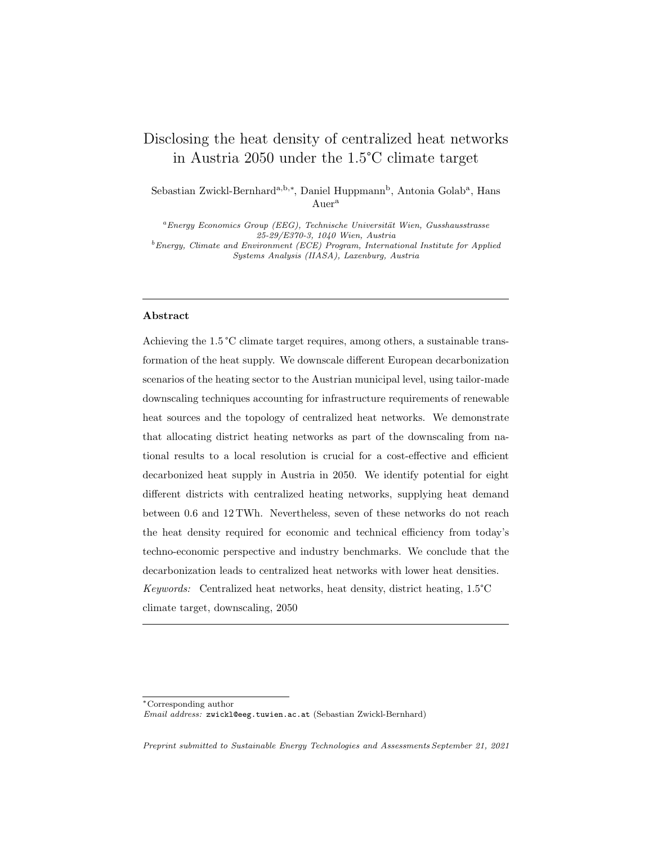# <span id="page-1-0"></span>Disclosing the heat density of centralized heat networks in Austria 2050 under the 1.5°C climate target

Sebastian Zwickl-Bernhard<sup>a,b,∗</sup>, Daniel Huppmann<sup>b</sup>, Antonia Golab<sup>a</sup>, Hans Auer<sup>a</sup>

 $a_{Enerqu}$  Economics Group (EEG), Technische Universität Wien, Gusshausstrasse 25-29/E370-3, 1040 Wien, Austria  $^{b}$ Energy, Climate and Environment (ECE) Program, International Institute for Applied Systems Analysis (IIASA), Laxenburg, Austria

### Abstract

Achieving the 1.5 °C climate target requires, among others, a sustainable transformation of the heat supply. We downscale different European decarbonization scenarios of the heating sector to the Austrian municipal level, using tailor-made downscaling techniques accounting for infrastructure requirements of renewable heat sources and the topology of centralized heat networks. We demonstrate that allocating district heating networks as part of the downscaling from national results to a local resolution is crucial for a cost-effective and efficient decarbonized heat supply in Austria in 2050. We identify potential for eight different districts with centralized heating networks, supplying heat demand between 0.6 and 12 TWh. Nevertheless, seven of these networks do not reach the heat density required for economic and technical efficiency from today's techno-economic perspective and industry benchmarks. We conclude that the decarbonization leads to centralized heat networks with lower heat densities. Keywords: Centralized heat networks, heat density, district heating, 1.5°C climate target, downscaling, 2050

Preprint submitted to Sustainable Energy Technologies and Assessments September 21, 2021

<sup>∗</sup>Corresponding author Email address: zwickl@eeg.tuwien.ac.at (Sebastian Zwickl-Bernhard)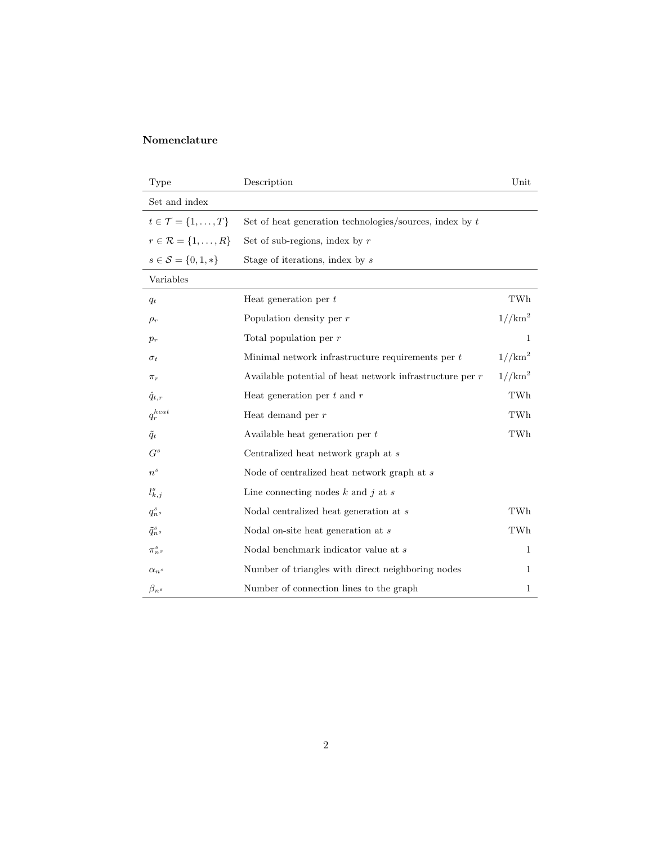## Nomenclature

| Type                                   | Description                                                | Unit               |
|----------------------------------------|------------------------------------------------------------|--------------------|
| Set and index                          |                                                            |                    |
| $t \in \mathcal{T} = \{1, \ldots, T\}$ | Set of heat generation technologies/sources, index by $t$  |                    |
| $r \in \mathcal{R} = \{1, \ldots, R\}$ | Set of sub-regions, index by $r$                           |                    |
| $s \in \mathcal{S} = \{0, 1, *\}$      | Stage of iterations, index by s                            |                    |
| Variables                              |                                                            |                    |
| $q_t$                                  | Heat generation per $t$                                    | TWh                |
| $\rho_r$                               | Population density per $r$                                 | $1/(km^2)$         |
| $p_r$                                  | Total population per $r$                                   | $\mathbf{1}$       |
| $\sigma_t$                             | Minimal network infrastructure requirements per t          | 1//km <sup>2</sup> |
| $\pi_r$                                | Available potential of heat network infrastructure per $r$ | $1/(km^2)$         |
| $\hat{q}_{t,r}$                        | Heat generation per $t$ and $r$                            | TWh                |
| $q_r^{heat}$                           | Heat demand per $r$                                        | TWh                |
| $\tilde{q}_t$                          | Available heat generation per $t$                          | TWh                |
| $G^s$                                  | Centralized heat network graph at $s$                      |                    |
| $n^{s}$                                | Node of centralized heat network graph at $s$              |                    |
| $l_{k,j}^s$                            | Line connecting nodes $k$ and $j$ at $s$                   |                    |
| $q_{n}^s$                              | Nodal centralized heat generation at $s$                   | TWh                |
| $\tilde{q}^s_{n^s}$                    | Nodal on-site heat generation at s                         | TWh                |
| $\pi^s_{n^s}$                          | Nodal benchmark indicator value at s                       | 1                  |
| $\alpha_n s$                           | Number of triangles with direct neighboring nodes          | 1                  |
| $\beta_n s$                            | Number of connection lines to the graph                    | 1                  |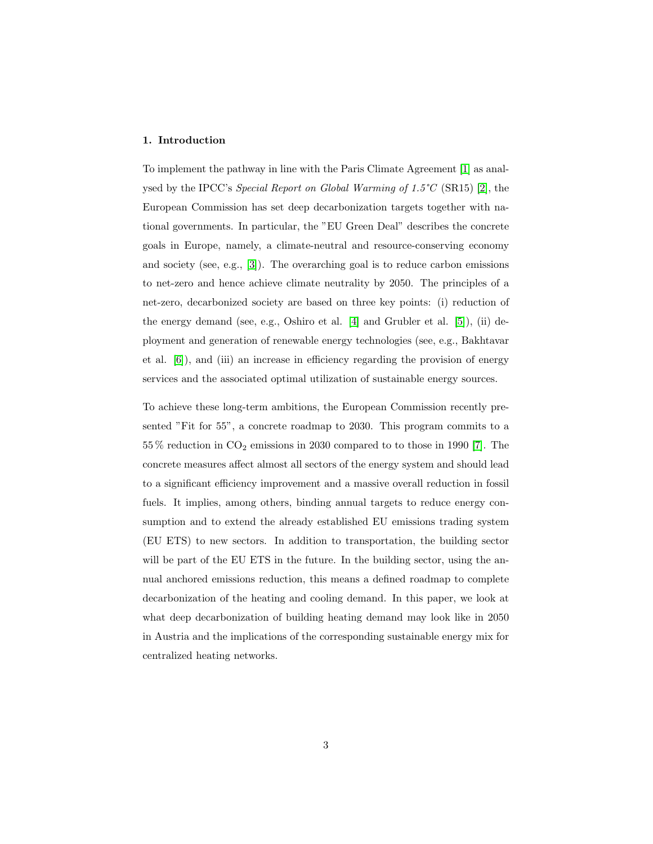#### 1. Introduction

To implement the pathway in line with the Paris Climate Agreement [\[1\]](#page-30-0) as analysed by the IPCC's Special Report on Global Warming of 1.5°C (SR15) [\[2\]](#page-30-1), the European Commission has set deep decarbonization targets together with national governments. In particular, the "EU Green Deal" describes the concrete goals in Europe, namely, a climate-neutral and resource-conserving economy and society (see, e.g., [\[3\]](#page-31-0)). The overarching goal is to reduce carbon emissions to net-zero and hence achieve climate neutrality by 2050. The principles of a net-zero, decarbonized society are based on three key points: (i) reduction of the energy demand (see, e.g., Oshiro et al. [\[4\]](#page-31-1) and Grubler et al. [\[5\]](#page-31-2)), (ii) deployment and generation of renewable energy technologies (see, e.g., Bakhtavar et al. [\[6\]](#page-31-3)), and (iii) an increase in efficiency regarding the provision of energy services and the associated optimal utilization of sustainable energy sources.

To achieve these long-term ambitions, the European Commission recently presented "Fit for 55", a concrete roadmap to 2030. This program commits to a  $55\%$  reduction in  $CO<sub>2</sub>$  emissions in 2030 compared to to those in 1990 [\[7\]](#page-31-4). The concrete measures affect almost all sectors of the energy system and should lead to a significant efficiency improvement and a massive overall reduction in fossil fuels. It implies, among others, binding annual targets to reduce energy consumption and to extend the already established EU emissions trading system (EU ETS) to new sectors. In addition to transportation, the building sector will be part of the EU ETS in the future. In the building sector, using the annual anchored emissions reduction, this means a defined roadmap to complete decarbonization of the heating and cooling demand. In this paper, we look at what deep decarbonization of building heating demand may look like in 2050 in Austria and the implications of the corresponding sustainable energy mix for centralized heating networks.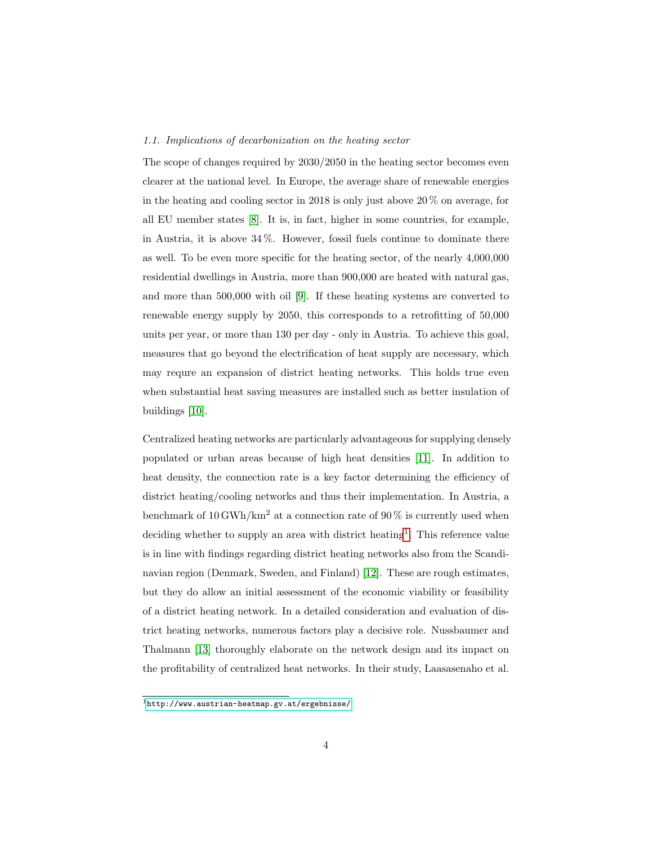#### 1.1. Implications of decarbonization on the heating sector

The scope of changes required by 2030/2050 in the heating sector becomes even clearer at the national level. In Europe, the average share of renewable energies in the heating and cooling sector in 2018 is only just above  $20\%$  on average, for all EU member states [\[8\]](#page-31-5). It is, in fact, higher in some countries, for example, in Austria, it is above 34 %. However, fossil fuels continue to dominate there as well. To be even more specific for the heating sector, of the nearly 4,000,000 residential dwellings in Austria, more than 900,000 are heated with natural gas, and more than 500,000 with oil [\[9\]](#page-31-6). If these heating systems are converted to renewable energy supply by 2050, this corresponds to a retrofitting of 50,000 units per year, or more than 130 per day - only in Austria. To achieve this goal, measures that go beyond the electrification of heat supply are necessary, which may requre an expansion of district heating networks. This holds true even when substantial heat saving measures are installed such as better insulation of buildings [\[10\]](#page-32-0).

Centralized heating networks are particularly advantageous for supplying densely populated or urban areas because of high heat densities [\[11\]](#page-32-1). In addition to heat density, the connection rate is a key factor determining the efficiency of district heating/cooling networks and thus their implementation. In Austria, a benchmark of  $10 \text{ GWh}/\text{km}^2$  at a connection rate of  $90 \%$  is currently used when deciding whether to supply an area with district heating<sup>[1](#page-1-0)</sup>. This reference value is in line with findings regarding district heating networks also from the Scandinavian region (Denmark, Sweden, and Finland) [\[12\]](#page-32-2). These are rough estimates, but they do allow an initial assessment of the economic viability or feasibility of a district heating network. In a detailed consideration and evaluation of district heating networks, numerous factors play a decisive role. Nussbaumer and Thalmann [\[13\]](#page-32-3) thoroughly elaborate on the network design and its impact on the profitability of centralized heat networks. In their study, Laasasenaho et al.

 $1$ <http://www.austrian-heatmap.gv.at/ergebnisse/>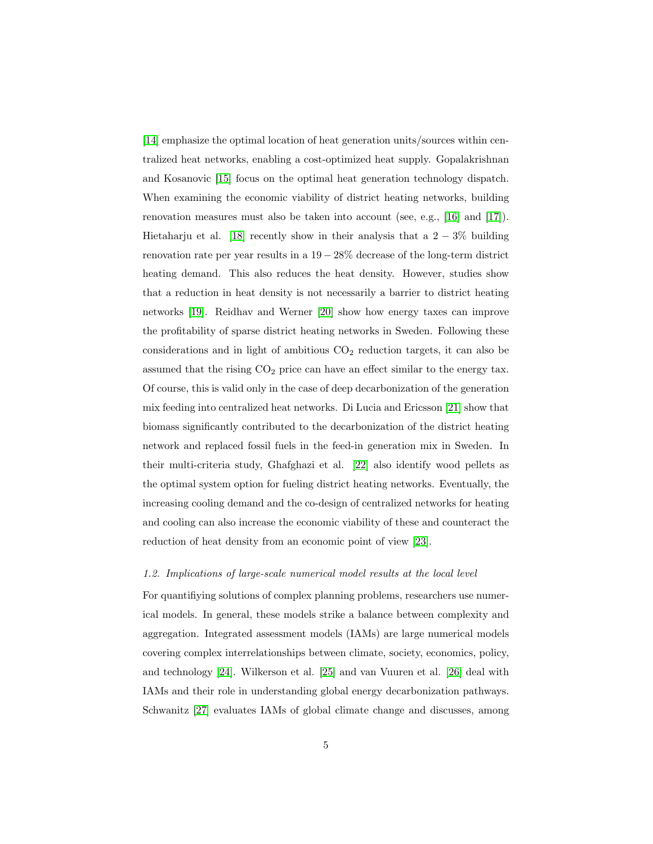[\[14\]](#page-32-4) emphasize the optimal location of heat generation units/sources within centralized heat networks, enabling a cost-optimized heat supply. Gopalakrishnan and Kosanovic [\[15\]](#page-32-5) focus on the optimal heat generation technology dispatch. When examining the economic viability of district heating networks, building renovation measures must also be taken into account (see, e.g., [\[16\]](#page-33-0) and [\[17\]](#page-33-1)). Hietaharju et al. [\[18\]](#page-33-2) recently show in their analysis that a  $2 - 3\%$  building renovation rate per year results in a  $19-28\%$  decrease of the long-term district heating demand. This also reduces the heat density. However, studies show that a reduction in heat density is not necessarily a barrier to district heating networks [\[19\]](#page-33-3). Reidhav and Werner [\[20\]](#page-33-4) show how energy taxes can improve the profitability of sparse district heating networks in Sweden. Following these considerations and in light of ambitious  $CO<sub>2</sub>$  reduction targets, it can also be assumed that the rising  $CO<sub>2</sub>$  price can have an effect similar to the energy tax. Of course, this is valid only in the case of deep decarbonization of the generation mix feeding into centralized heat networks. Di Lucia and Ericsson [\[21\]](#page-33-5) show that biomass significantly contributed to the decarbonization of the district heating network and replaced fossil fuels in the feed-in generation mix in Sweden. In their multi-criteria study, Ghafghazi et al. [\[22\]](#page-33-6) also identify wood pellets as the optimal system option for fueling district heating networks. Eventually, the increasing cooling demand and the co-design of centralized networks for heating and cooling can also increase the economic viability of these and counteract the reduction of heat density from an economic point of view [\[23\]](#page-33-7).

#### 1.2. Implications of large-scale numerical model results at the local level

For quantifiying solutions of complex planning problems, researchers use numerical models. In general, these models strike a balance between complexity and aggregation. Integrated assessment models (IAMs) are large numerical models covering complex interrelationships between climate, society, economics, policy, and technology [\[24\]](#page-34-0). Wilkerson et al. [\[25\]](#page-34-1) and van Vuuren et al. [\[26\]](#page-34-2) deal with IAMs and their role in understanding global energy decarbonization pathways. Schwanitz [\[27\]](#page-34-3) evaluates IAMs of global climate change and discusses, among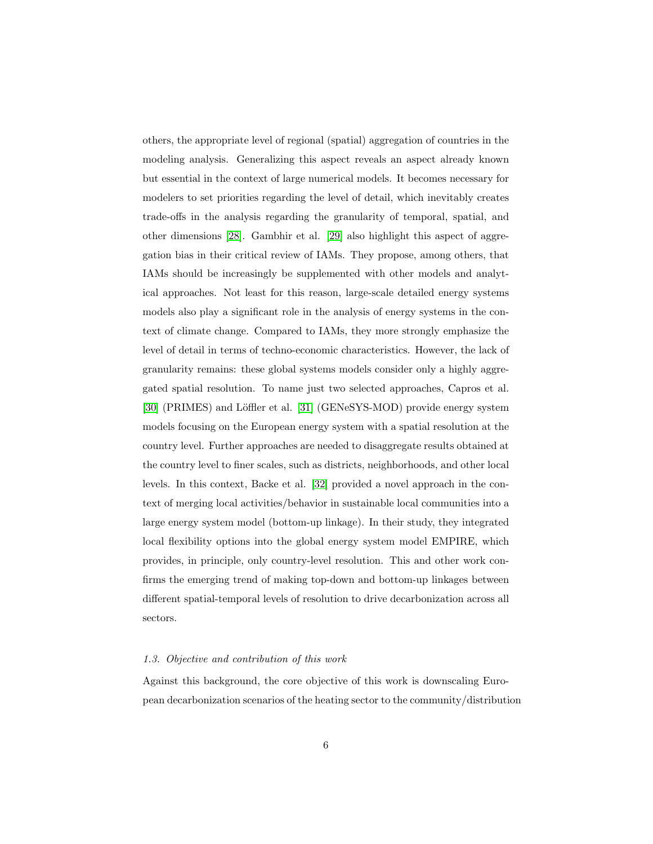others, the appropriate level of regional (spatial) aggregation of countries in the modeling analysis. Generalizing this aspect reveals an aspect already known but essential in the context of large numerical models. It becomes necessary for modelers to set priorities regarding the level of detail, which inevitably creates trade-offs in the analysis regarding the granularity of temporal, spatial, and other dimensions [\[28\]](#page-34-4). Gambhir et al. [\[29\]](#page-34-5) also highlight this aspect of aggregation bias in their critical review of IAMs. They propose, among others, that IAMs should be increasingly be supplemented with other models and analytical approaches. Not least for this reason, large-scale detailed energy systems models also play a significant role in the analysis of energy systems in the context of climate change. Compared to IAMs, they more strongly emphasize the level of detail in terms of techno-economic characteristics. However, the lack of granularity remains: these global systems models consider only a highly aggregated spatial resolution. To name just two selected approaches, Capros et al. [\[30\]](#page-34-6) (PRIMES) and Löffler et al. [\[31\]](#page-35-0) (GENeSYS-MOD) provide energy system models focusing on the European energy system with a spatial resolution at the country level. Further approaches are needed to disaggregate results obtained at the country level to finer scales, such as districts, neighborhoods, and other local levels. In this context, Backe et al. [\[32\]](#page-35-1) provided a novel approach in the context of merging local activities/behavior in sustainable local communities into a large energy system model (bottom-up linkage). In their study, they integrated local flexibility options into the global energy system model EMPIRE, which provides, in principle, only country-level resolution. This and other work confirms the emerging trend of making top-down and bottom-up linkages between different spatial-temporal levels of resolution to drive decarbonization across all sectors.

#### 1.3. Objective and contribution of this work

Against this background, the core objective of this work is downscaling European decarbonization scenarios of the heating sector to the community/distribution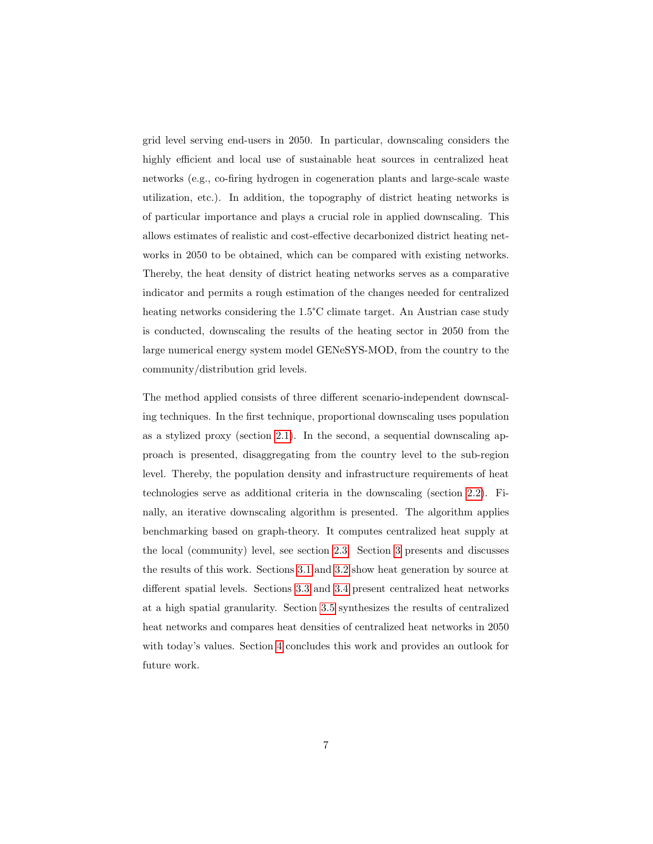grid level serving end-users in 2050. In particular, downscaling considers the highly efficient and local use of sustainable heat sources in centralized heat networks (e.g., co-firing hydrogen in cogeneration plants and large-scale waste utilization, etc.). In addition, the topography of district heating networks is of particular importance and plays a crucial role in applied downscaling. This allows estimates of realistic and cost-effective decarbonized district heating networks in 2050 to be obtained, which can be compared with existing networks. Thereby, the heat density of district heating networks serves as a comparative indicator and permits a rough estimation of the changes needed for centralized heating networks considering the 1.5°C climate target. An Austrian case study is conducted, downscaling the results of the heating sector in 2050 from the large numerical energy system model GENeSYS-MOD, from the country to the community/distribution grid levels.

The method applied consists of three different scenario-independent downscaling techniques. In the first technique, proportional downscaling uses population as a stylized proxy (section [2.1\)](#page-8-0). In the second, a sequential downscaling approach is presented, disaggregating from the country level to the sub-region level. Thereby, the population density and infrastructure requirements of heat technologies serve as additional criteria in the downscaling (section [2.2\)](#page-9-0). Finally, an iterative downscaling algorithm is presented. The algorithm applies benchmarking based on graph-theory. It computes centralized heat supply at the local (community) level, see section [2.3.](#page-13-0) Section [3](#page-17-0) presents and discusses the results of this work. Sections [3.1](#page-17-1) and [3.2](#page-20-0) show heat generation by source at different spatial levels. Sections [3.3](#page-23-0) and [3.4](#page-23-1) present centralized heat networks at a high spatial granularity. Section [3.5](#page-27-0) synthesizes the results of centralized heat networks and compares heat densities of centralized heat networks in 2050 with today's values. Section [4](#page-29-0) concludes this work and provides an outlook for future work.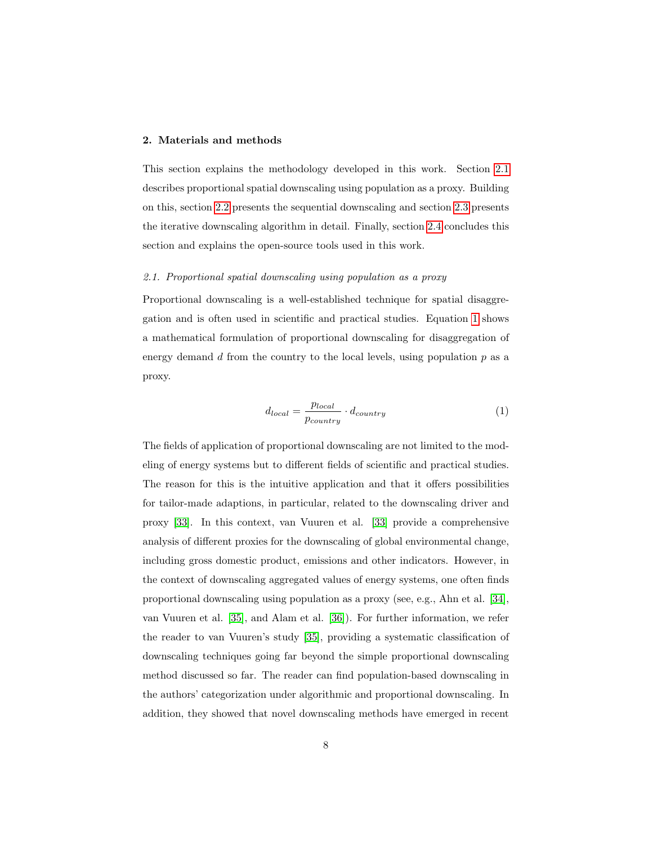#### 2. Materials and methods

This section explains the methodology developed in this work. Section [2.1](#page-8-0) describes proportional spatial downscaling using population as a proxy. Building on this, section [2.2](#page-9-0) presents the sequential downscaling and section [2.3](#page-13-0) presents the iterative downscaling algorithm in detail. Finally, section [2.4](#page-16-0) concludes this section and explains the open-source tools used in this work.

#### <span id="page-8-0"></span>2.1. Proportional spatial downscaling using population as a proxy

Proportional downscaling is a well-established technique for spatial disaggregation and is often used in scientific and practical studies. Equation [1](#page-8-1) shows a mathematical formulation of proportional downscaling for disaggregation of energy demand  $d$  from the country to the local levels, using population  $p$  as a proxy.

<span id="page-8-1"></span>
$$
d_{local} = \frac{p_{local}}{p_{country}} \cdot d_{country}
$$
 (1)

The fields of application of proportional downscaling are not limited to the modeling of energy systems but to different fields of scientific and practical studies. The reason for this is the intuitive application and that it offers possibilities for tailor-made adaptions, in particular, related to the downscaling driver and proxy [\[33\]](#page-35-2). In this context, van Vuuren et al. [\[33\]](#page-35-2) provide a comprehensive analysis of different proxies for the downscaling of global environmental change, including gross domestic product, emissions and other indicators. However, in the context of downscaling aggregated values of energy systems, one often finds proportional downscaling using population as a proxy (see, e.g., Ahn et al. [\[34\]](#page-35-3), van Vuuren et al. [\[35\]](#page-35-4), and Alam et al. [\[36\]](#page-35-5)). For further information, we refer the reader to van Vuuren's study [\[35\]](#page-35-4), providing a systematic classification of downscaling techniques going far beyond the simple proportional downscaling method discussed so far. The reader can find population-based downscaling in the authors' categorization under algorithmic and proportional downscaling. In addition, they showed that novel downscaling methods have emerged in recent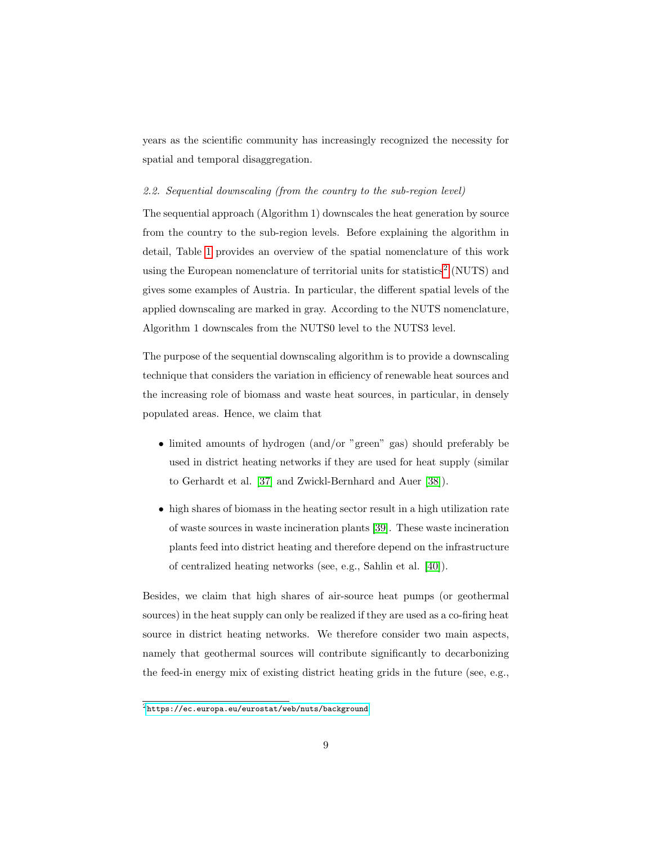years as the scientific community has increasingly recognized the necessity for spatial and temporal disaggregation.

#### <span id="page-9-0"></span>2.2. Sequential downscaling (from the country to the sub-region level)

The sequential approach (Algorithm 1) downscales the heat generation by source from the country to the sub-region levels. Before explaining the algorithm in detail, Table [1](#page-10-0) provides an overview of the spatial nomenclature of this work using the European nomenclature of territorial units for statistics<sup>[2](#page-1-0)</sup> (NUTS) and gives some examples of Austria. In particular, the different spatial levels of the applied downscaling are marked in gray. According to the NUTS nomenclature, Algorithm 1 downscales from the NUTS0 level to the NUTS3 level.

The purpose of the sequential downscaling algorithm is to provide a downscaling technique that considers the variation in efficiency of renewable heat sources and the increasing role of biomass and waste heat sources, in particular, in densely populated areas. Hence, we claim that

- limited amounts of hydrogen (and/or "green" gas) should preferably be used in district heating networks if they are used for heat supply (similar to Gerhardt et al. [\[37\]](#page-35-6) and Zwickl-Bernhard and Auer [\[38\]](#page-36-0)).
- high shares of biomass in the heating sector result in a high utilization rate of waste sources in waste incineration plants [\[39\]](#page-36-1). These waste incineration plants feed into district heating and therefore depend on the infrastructure of centralized heating networks (see, e.g., Sahlin et al. [\[40\]](#page-36-2)).

Besides, we claim that high shares of air-source heat pumps (or geothermal sources) in the heat supply can only be realized if they are used as a co-firing heat source in district heating networks. We therefore consider two main aspects, namely that geothermal sources will contribute significantly to decarbonizing the feed-in energy mix of existing district heating grids in the future (see, e.g.,

 $^{2}$ <https://ec.europa.eu/eurostat/web/nuts/background>.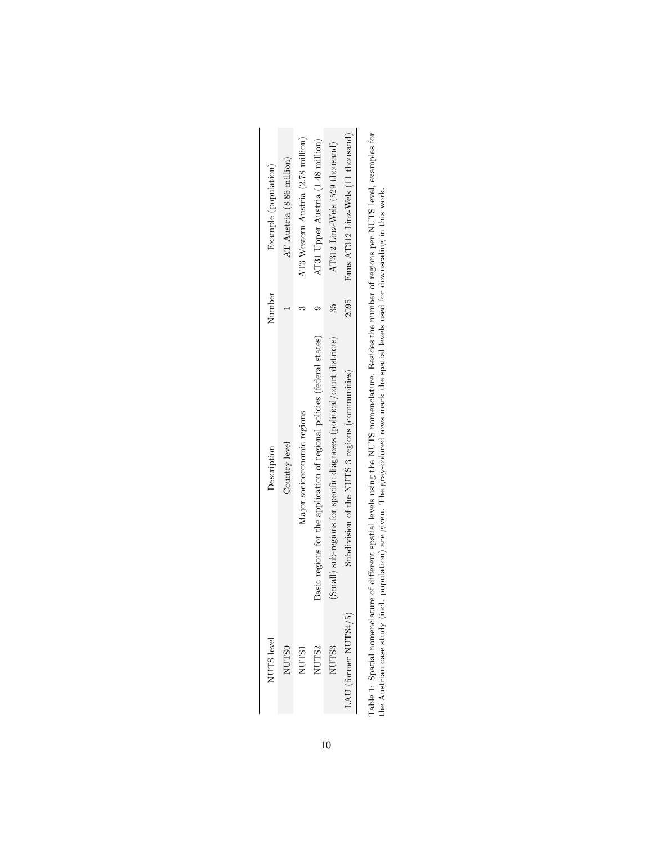<span id="page-10-0"></span>

| Example (population) | AT Austria (8.86 million) | AT3 Western Austria (2.78 million) | AT31 Upper Austria (1.48 million)                                       | AT312 Linz-Wels (529 thousand)                                         | Enns AT312 Linz-Wels (11 thousand)              |  |
|----------------------|---------------------------|------------------------------------|-------------------------------------------------------------------------|------------------------------------------------------------------------|-------------------------------------------------|--|
| Number               |                           |                                    |                                                                         | 35                                                                     | 7095                                            |  |
| Description          | Country level             | Major socioeconomic regions        | Basic regions for the application of regional policies (federal states) | (Small) sub-regions for specific diagnoses (political/court districts) | Subdivision of the NUTS 3 regions (communities) |  |
| $TUTS$ level         | NUTSC                     | <b>NUTSI</b>                       | <b>NUTS2</b>                                                            | NUTS3                                                                  | IU (former NUTS4/5)                             |  |

Table 1: Spatial nomenclature of different spatial levels using the NUTS nomenclature. Besides the number of regions per NUTS level, examples for<br>the Austrian case study (incl. population) are given. The gray-colored rows Table 1: Spatial nomenclature of different spatial levels using the NUTS nomenclature. Besides the number of regions per NUTS level, examples for the Austrian case study (incl. population) are given. The gray-colored rows mark the spatial levels used for downscaling in this work.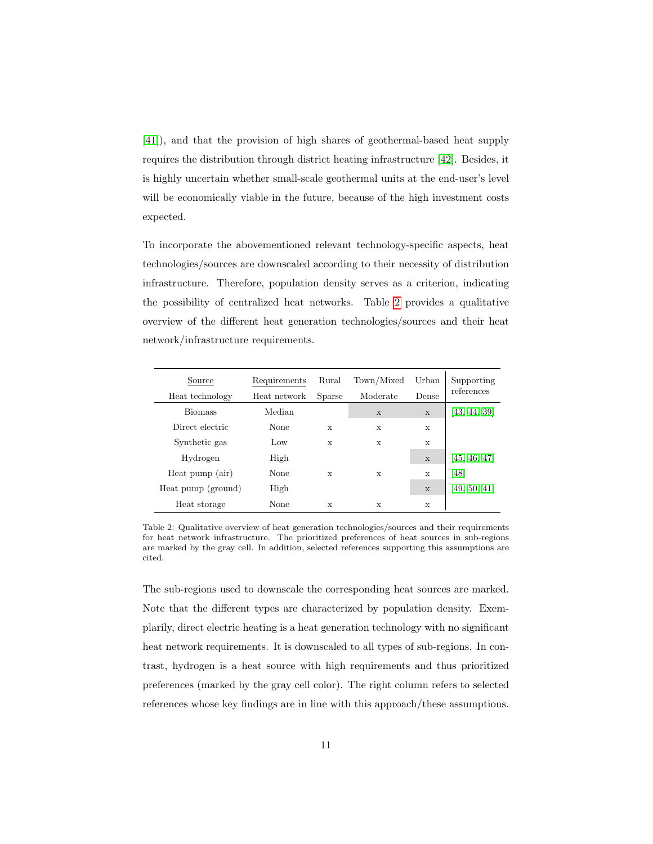[\[41\]](#page-36-3)), and that the provision of high shares of geothermal-based heat supply requires the distribution through district heating infrastructure [\[42\]](#page-36-4). Besides, it is highly uncertain whether small-scale geothermal units at the end-user's level will be economically viable in the future, because of the high investment costs expected.

To incorporate the abovementioned relevant technology-specific aspects, heat technologies/sources are downscaled according to their necessity of distribution infrastructure. Therefore, population density serves as a criterion, indicating the possibility of centralized heat networks. Table [2](#page-11-0) provides a qualitative overview of the different heat generation technologies/sources and their heat network/infrastructure requirements.

<span id="page-11-0"></span>

| Source<br>Heat technology | Requirements<br>Heat network | Rural<br>Sparse | Town/Mixed<br>Moderate | Urban<br>Dense | Supporting<br>references |
|---------------------------|------------------------------|-----------------|------------------------|----------------|--------------------------|
| <b>Biomass</b>            | Median                       |                 | $\mathbf{x}$           | $\mathbf x$    | 43, 44, 39               |
| Direct electric           | None                         | X               | X                      | X              |                          |
| Synthetic gas             | Low                          | X               | X                      | X              |                          |
| Hydrogen                  | High                         |                 |                        | X              | [45, 46, 47]             |
| Heat pump (air)           | None                         | X               | X                      | X              | [48]                     |
| Heat pump (ground)        | High                         |                 |                        | $\mathbf{x}$   | [49, 50, 41]             |
| Heat storage              | None                         | X               | X                      | X              |                          |

Table 2: Qualitative overview of heat generation technologies/sources and their requirements for heat network infrastructure. The prioritized preferences of heat sources in sub-regions are marked by the gray cell. In addition, selected references supporting this assumptions are cited.

The sub-regions used to downscale the corresponding heat sources are marked. Note that the different types are characterized by population density. Exemplarily, direct electric heating is a heat generation technology with no significant heat network requirements. It is downscaled to all types of sub-regions. In contrast, hydrogen is a heat source with high requirements and thus prioritized preferences (marked by the gray cell color). The right column refers to selected references whose key findings are in line with this approach/these assumptions.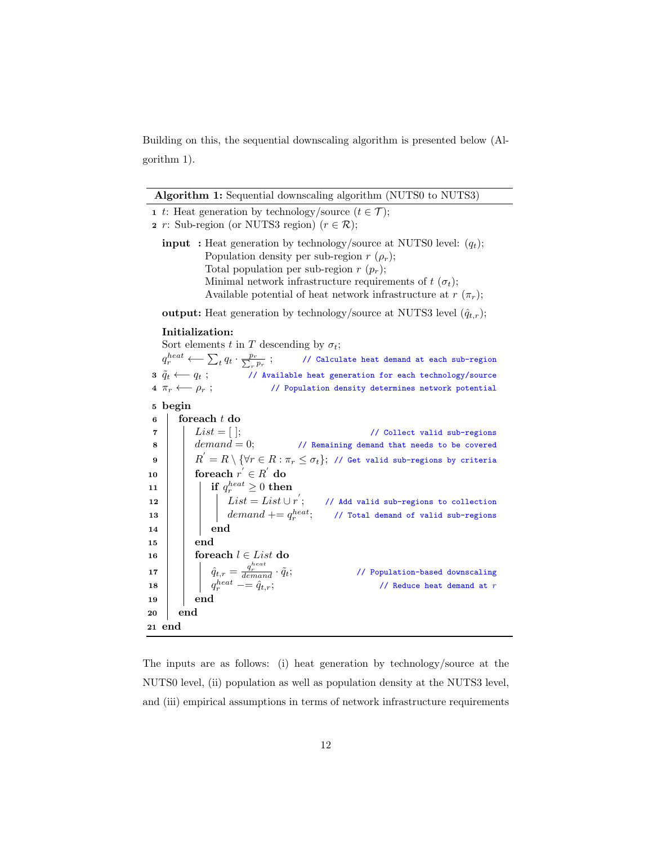Building on this, the sequential downscaling algorithm is presented below (Algorithm 1).

| <b>Algorithm 1:</b> Sequential downscaling algorithm (NUTS0 to NUTS3) |  |  |
|-----------------------------------------------------------------------|--|--|
|                                                                       |  |  |

| <b>Algorithm 1:</b> Sequential downscaling algorithm (NUTS0 to NUTS3)                                                                                                                                                                                                                                                  |  |  |  |  |  |  |
|------------------------------------------------------------------------------------------------------------------------------------------------------------------------------------------------------------------------------------------------------------------------------------------------------------------------|--|--|--|--|--|--|
| 1 t: Heat generation by technology/source $(t \in \mathcal{T})$ ;                                                                                                                                                                                                                                                      |  |  |  |  |  |  |
| 2 r: Sub-region (or NUTS3 region) $(r \in \mathcal{R})$ ;                                                                                                                                                                                                                                                              |  |  |  |  |  |  |
| <b>input</b> : Heat generation by technology/source at NUTS0 level: $(q_t)$ ;<br>Population density per sub-region $r(\rho_r)$ ;<br>Total population per sub-region $r(p_r)$ ;<br>Minimal network infrastructure requirements of $t(\sigma_t)$ ;<br>Available potential of heat network infrastructure at $r(\pi_r)$ ; |  |  |  |  |  |  |
| <b>output:</b> Heat generation by technology/source at NUTS3 level $(\hat{q}_{t,r})$ ;                                                                                                                                                                                                                                 |  |  |  |  |  |  |
| Initialization:                                                                                                                                                                                                                                                                                                        |  |  |  |  |  |  |
| Sort elements t in T descending by $\sigma_t$ ;                                                                                                                                                                                                                                                                        |  |  |  |  |  |  |
| $q_r^{heat} \longleftarrow \sum_t q_t \cdot \frac{p_r}{\sum_{r} p_r};$<br>// Calculate heat demand at each sub-region                                                                                                                                                                                                  |  |  |  |  |  |  |
| 3 $\tilde{q}_t \longleftarrow q_t$ ; // Available heat generation for each technology/source                                                                                                                                                                                                                           |  |  |  |  |  |  |
| 4 $\pi_r \longleftarrow \rho_r$ ;<br>// Population density determines network potential                                                                                                                                                                                                                                |  |  |  |  |  |  |
| 5 begin                                                                                                                                                                                                                                                                                                                |  |  |  |  |  |  |
| foreach $t$ do<br>6                                                                                                                                                                                                                                                                                                    |  |  |  |  |  |  |
| $List = [$ ;<br>// Collect valid sub-regions<br>7                                                                                                                                                                                                                                                                      |  |  |  |  |  |  |
| $demand = 0;$<br>// Remaining demand that needs to be covered<br>8                                                                                                                                                                                                                                                     |  |  |  |  |  |  |
| $R^{'}=R\setminus\{\forall r\in R:\pi_{r}\leq\sigma_{t}\};$ // Get valid sub-regions by criteria<br>9                                                                                                                                                                                                                  |  |  |  |  |  |  |
| foreach $r^{'} \in R^{'}$ do<br>10                                                                                                                                                                                                                                                                                     |  |  |  |  |  |  |
| if $q_r^{heat} \geq 0$ then<br>11                                                                                                                                                                                                                                                                                      |  |  |  |  |  |  |
| 12                                                                                                                                                                                                                                                                                                                     |  |  |  |  |  |  |
| $List = List \cup r';$ // Add valid sub-regions to collection<br>demand $+= q_r^{heat};$ // Total demand of valid sub-regions<br>13                                                                                                                                                                                    |  |  |  |  |  |  |
| end<br>14                                                                                                                                                                                                                                                                                                              |  |  |  |  |  |  |
| end<br>15                                                                                                                                                                                                                                                                                                              |  |  |  |  |  |  |
| foreach $l \in List$ do<br>16                                                                                                                                                                                                                                                                                          |  |  |  |  |  |  |
| // Population-based downscaling<br>17                                                                                                                                                                                                                                                                                  |  |  |  |  |  |  |
| $\hat{q}_{t,r} = \frac{q_r^{heat}}{demand} \cdot \tilde{q}_t;$<br>$q_r^{heat} == \hat{q}_{t,r};$<br>// Reduce heat demand at $r$<br>18                                                                                                                                                                                 |  |  |  |  |  |  |
| end<br>19                                                                                                                                                                                                                                                                                                              |  |  |  |  |  |  |
| end<br>20                                                                                                                                                                                                                                                                                                              |  |  |  |  |  |  |
| 21 end                                                                                                                                                                                                                                                                                                                 |  |  |  |  |  |  |

The inputs are as follows: (i) heat generation by technology/source at the NUTS0 level, (ii) population as well as population density at the NUTS3 level, and (iii) empirical assumptions in terms of network infrastructure requirements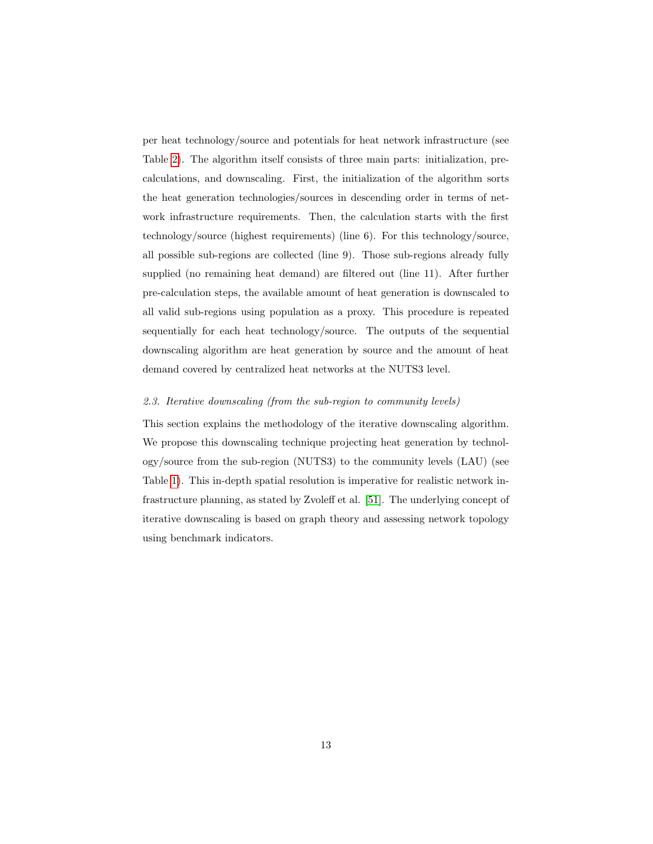per heat technology/source and potentials for heat network infrastructure (see Table [2\)](#page-11-0). The algorithm itself consists of three main parts: initialization, precalculations, and downscaling. First, the initialization of the algorithm sorts the heat generation technologies/sources in descending order in terms of network infrastructure requirements. Then, the calculation starts with the first technology/source (highest requirements) (line 6). For this technology/source, all possible sub-regions are collected (line 9). Those sub-regions already fully supplied (no remaining heat demand) are filtered out (line 11). After further pre-calculation steps, the available amount of heat generation is downscaled to all valid sub-regions using population as a proxy. This procedure is repeated sequentially for each heat technology/source. The outputs of the sequential downscaling algorithm are heat generation by source and the amount of heat demand covered by centralized heat networks at the NUTS3 level.

#### <span id="page-13-0"></span>2.3. Iterative downscaling (from the sub-region to community levels)

This section explains the methodology of the iterative downscaling algorithm. We propose this downscaling technique projecting heat generation by technology/source from the sub-region (NUTS3) to the community levels (LAU) (see Table [1\)](#page-10-0). This in-depth spatial resolution is imperative for realistic network infrastructure planning, as stated by Zvoleff et al. [\[51\]](#page-37-6). The underlying concept of iterative downscaling is based on graph theory and assessing network topology using benchmark indicators.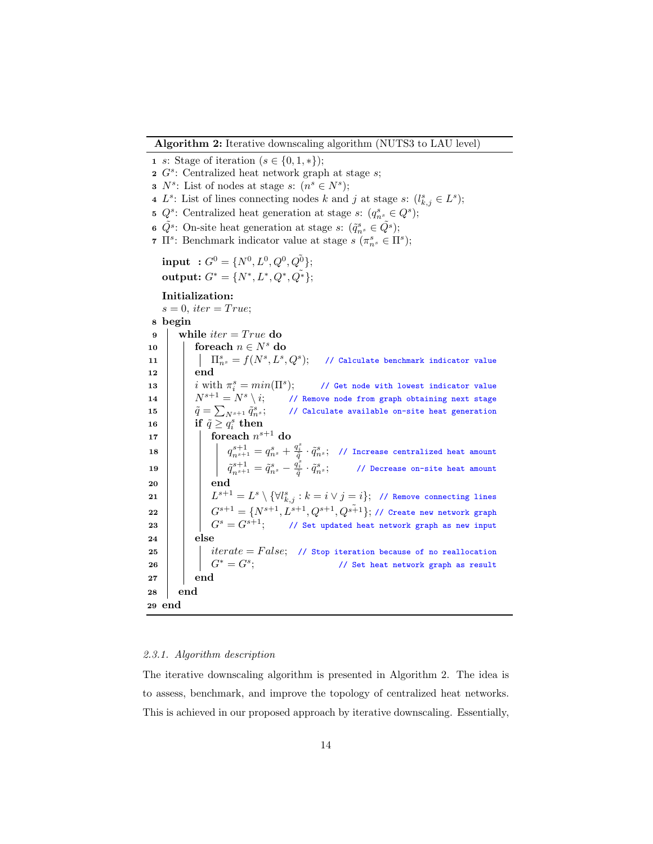Algorithm 2: Iterative downscaling algorithm (NUTS3 to LAU level)

```
1 s: Stage of iteration (s \in \{0, 1, *\});
   2 G<sup>s</sup>: Centralized heat network graph at stage s;
   3 N^s: List of nodes at stage s: (n^s \in N^s);4 L<sup>s</sup>: List of lines connecting nodes k and j at stage s: (l_{k,j}^s \in L^s);5 Q^s: Centralized heat generation at stage s: (q_{n^s}^s \in Q^s);
   6 \tilde{Q}^s: On-site heat generation at stage s: (\tilde{q}^s_{n^s} \in \tilde{Q}^s);
   <sup>7</sup> \Pi^s: Benchmark indicator value at stage s \left( \pi_{n^s}^s \in \Pi^s \right);\text{input} \hspace{0.2cm} : G^0 = \{N^0, L^0, Q^0, Q^0\};output: G^* = \{N^*, L^*, Q^*, \tilde{Q^*}\};Initialization:
       s = 0, iter = True;
  8 begin
  9 while iter = True do
10 foreach n \in N^s do
 11 \begin{array}{|c|c|c|c|}\hline \quad & \quad & \quad \text{if } & \quad \text{if } & \quad \text{if } & \quad \text{if } & \quad \text{if } & \quad \text{if } & \quad \text{if } & \quad \text{if } & \quad \text{if } & \quad \text{if } & \quad \text{if } & \quad \text{if } & \quad \text{if } & \quad \text{if } & \quad \text{if } & \quad \text{if } & \quad \text{if } & \quad \text{if } & \quad \text{if } & \quad \text{if } & \quad \text{if } & \quad \text{if } & \quad \text{if } & \quad \text{if } & \quad12 end
 13 \begin{array}{|c|c|} \hline \end{array} i with \pi_i^s = min(\Pi^s)// Get node with lowest indicator value
14 \begin{array}{|c|c|c|c|}\n\hline\n14 & N^{s+1} = N^s \setminus i; & \text{\textit{ // Remove node from graph obtaining next stage}}\n\hline\n\end{array}15 \hat{q} = \sum_{N^{s+1}} \tilde{q}^s_n// Calculate available on-site heat generation
 \texttt{16} \quad | \quad \text{if} \,\, \tilde{q} \geq q_i^s \,\, \text{then}\begin{array}{|c|c|c|}\hline \text{17} & \text{} & \text{for each } n^{s+1} \text{ do} \hline \end{array}\boxed{\phantom{i} \phantom{i} } \phantom{i} \phantom{i} } \phantom{i} \phantom{i} \phantom{i} } \phantom{i} \phantom{i} \phantom{i} \phantom{i} } \phantom{i} \phantom{i} \phantom{i} \phantom{i} } \phantom{i} \phantom{i} \phantom{i} } \phantom{i} \phantom{i} \phantom{i} } \phantom{i} \phantom{i} \phantom{i} \phantom{i} } \phantom{i} \phantom{i} \phantom{i} \phantom{i} } \phantom{i} \phantom{i} \phantom{i} \phantom{i} } \phantom{i} \phantom{i} \phantom{i} } \phantom{i} \phantom{i} \phantom{i} \phantom{i} } \phantom{i} \19 \Big|\qquad \Big|\qquad \tilde{q}_{n^{s+1}}^{s+1} = \tilde{q}_{n^s}^s - \frac{\tilde{q}_{i}^s}{\tilde{q}} \cdot \tilde{q}_{n^s}^s; \qquad \text{\textit{// Decrease on-site heat amount}}20 | | end
 \begin{array}{ll} \texttt{21} \end{array} \big| \quad \big| \quad L^{s+1} = L^s \setminus \{ \forall l_{k,j}^s : k=i \vee j=i \}; \ \texttt{ // Remove connecting lines }\begin{array}{|c|c|c|c|}\hline \rule{0pt}{1ex} & & \end{array} \begin{array}{|c|c|c|c|}\hline \rule{0pt}{1ex} & & G^{s+1}=\{N^{s+1}, L^{s+1}, Q^{s+1}\}, \end{array} \begin{array}{|c|c|c|c|c|}\hline \rule{0pt}{1ex} & & & \end{array} \begin{array}{c} \hline \rule{0pt}{1ex} & & & \end{array}23 \begin{array}{|c|c|c|c|}\n\hline\n23 & \begin{array}{|c|c|c|}\n\hline\n25 & \begin{array}{|c|c|c|}\n\hline\n26 & \begin{array}{|c|c|c|}\n\hline\n28 & \begin{array}{|c|c|c|}\n\hline\n29 & \begin{array}{|c|c|c|}\n\hline\n29 & \begin{array}{|c|c|c|}\n\hline\n20 & \begin{array}{|c|c|c|}\n\hline\n20 & \begin{array}{|c|c|c|}\n\hline\n20 & \begin{array}{|c|c|c|}\n\hline\n20 & \begin{array}{24 else
25 | | | iterate = False; // Stop iteration because of no reallocation
26 | G^* = G^s;
                                                                                                // Set heat network graph as result
27 | end
28 end
29 end
```
#### 2.3.1. Algorithm description

The iterative downscaling algorithm is presented in Algorithm 2. The idea is to assess, benchmark, and improve the topology of centralized heat networks. This is achieved in our proposed approach by iterative downscaling. Essentially,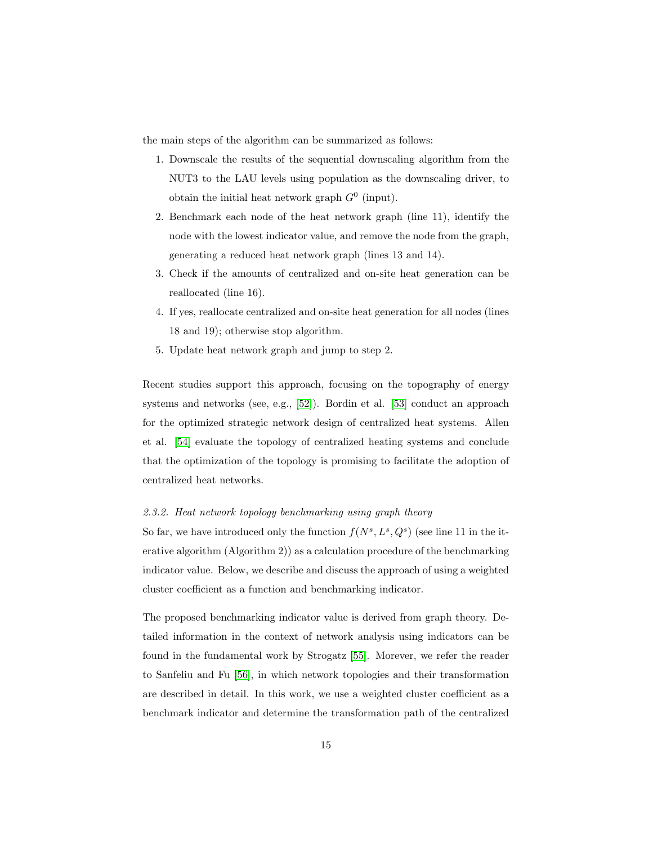the main steps of the algorithm can be summarized as follows:

- 1. Downscale the results of the sequential downscaling algorithm from the NUT3 to the LAU levels using population as the downscaling driver, to obtain the initial heat network graph  $G^0$  (input).
- 2. Benchmark each node of the heat network graph (line 11), identify the node with the lowest indicator value, and remove the node from the graph, generating a reduced heat network graph (lines 13 and 14).
- 3. Check if the amounts of centralized and on-site heat generation can be reallocated (line 16).
- 4. If yes, reallocate centralized and on-site heat generation for all nodes (lines 18 and 19); otherwise stop algorithm.
- 5. Update heat network graph and jump to step 2.

Recent studies support this approach, focusing on the topography of energy systems and networks (see, e.g., [\[52\]](#page-38-0)). Bordin et al. [\[53\]](#page-38-1) conduct an approach for the optimized strategic network design of centralized heat systems. Allen et al. [\[54\]](#page-38-2) evaluate the topology of centralized heating systems and conclude that the optimization of the topology is promising to facilitate the adoption of centralized heat networks.

#### 2.3.2. Heat network topology benchmarking using graph theory

So far, we have introduced only the function  $f(N^s, L^s, Q^s)$  (see line 11 in the iterative algorithm (Algorithm 2)) as a calculation procedure of the benchmarking indicator value. Below, we describe and discuss the approach of using a weighted cluster coefficient as a function and benchmarking indicator.

The proposed benchmarking indicator value is derived from graph theory. Detailed information in the context of network analysis using indicators can be found in the fundamental work by Strogatz [\[55\]](#page-38-3). Morever, we refer the reader to Sanfeliu and Fu [\[56\]](#page-38-4), in which network topologies and their transformation are described in detail. In this work, we use a weighted cluster coefficient as a benchmark indicator and determine the transformation path of the centralized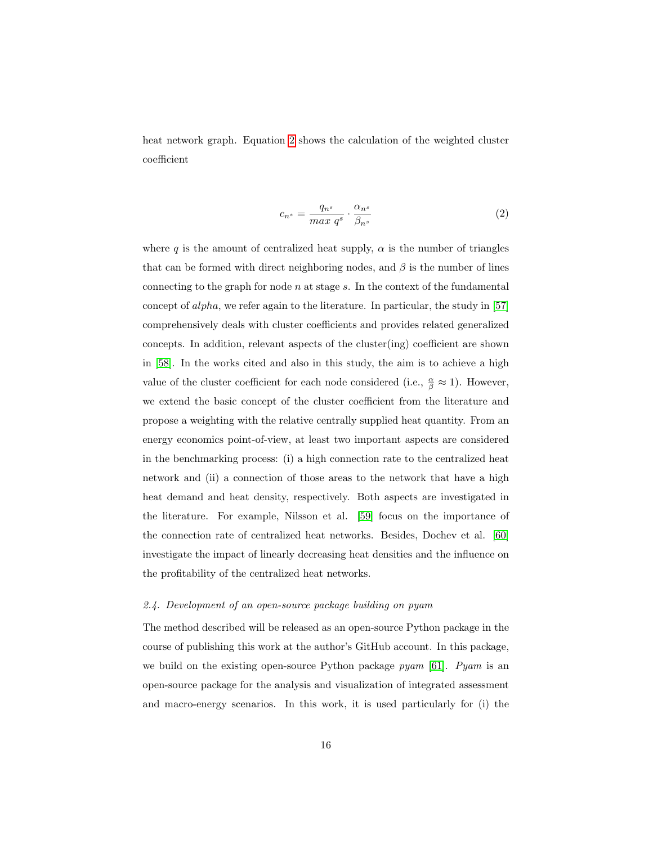heat network graph. Equation [2](#page-16-1) shows the calculation of the weighted cluster coefficient

<span id="page-16-1"></span>
$$
c_{n^s} = \frac{q_{n^s}}{max \ q^s} \cdot \frac{\alpha_{n^s}}{\beta_{n^s}}
$$
 (2)

where q is the amount of centralized heat supply,  $\alpha$  is the number of triangles that can be formed with direct neighboring nodes, and  $\beta$  is the number of lines connecting to the graph for node  $n$  at stage  $s$ . In the context of the fundamental concept of alpha, we refer again to the literature. In particular, the study in [\[57\]](#page-38-5) comprehensively deals with cluster coefficients and provides related generalized concepts. In addition, relevant aspects of the cluster(ing) coefficient are shown in [\[58\]](#page-38-6). In the works cited and also in this study, the aim is to achieve a high value of the cluster coefficient for each node considered (i.e.,  $\frac{\alpha}{\beta} \approx 1$ ). However, we extend the basic concept of the cluster coefficient from the literature and propose a weighting with the relative centrally supplied heat quantity. From an energy economics point-of-view, at least two important aspects are considered in the benchmarking process: (i) a high connection rate to the centralized heat network and (ii) a connection of those areas to the network that have a high heat demand and heat density, respectively. Both aspects are investigated in the literature. For example, Nilsson et al. [\[59\]](#page-39-0) focus on the importance of the connection rate of centralized heat networks. Besides, Dochev et al. [\[60\]](#page-39-1) investigate the impact of linearly decreasing heat densities and the influence on the profitability of the centralized heat networks.

#### <span id="page-16-0"></span>2.4. Development of an open-source package building on pyam

The method described will be released as an open-source Python package in the course of publishing this work at the author's GitHub account. In this package, we build on the existing open-source Python package pyam [\[61\]](#page-39-2). Pyam is an open-source package for the analysis and visualization of integrated assessment and macro-energy scenarios. In this work, it is used particularly for (i) the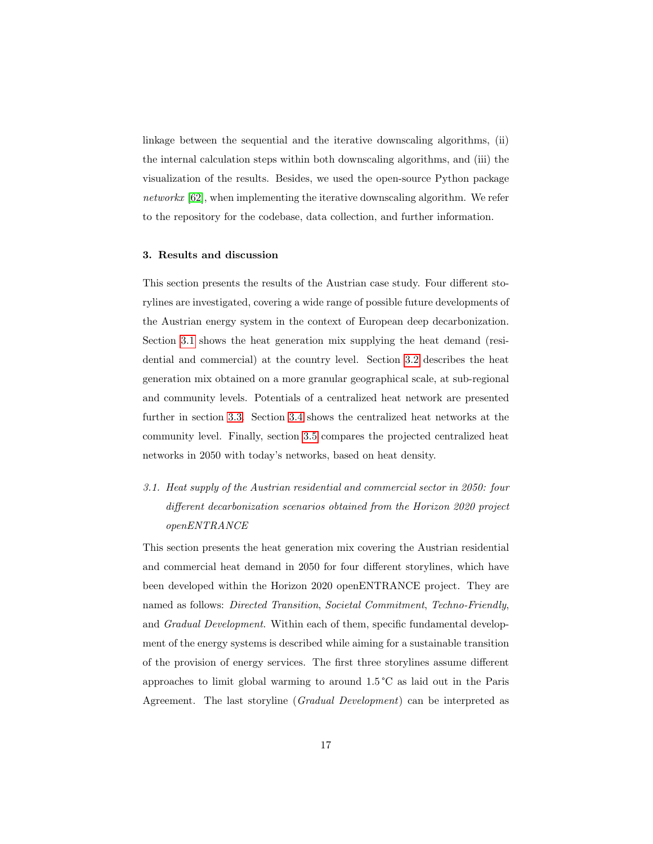linkage between the sequential and the iterative downscaling algorithms, (ii) the internal calculation steps within both downscaling algorithms, and (iii) the visualization of the results. Besides, we used the open-source Python package networkx [\[62\]](#page-39-3), when implementing the iterative downscaling algorithm. We refer to the repository for the codebase, data collection, and further information.

#### <span id="page-17-0"></span>3. Results and discussion

This section presents the results of the Austrian case study. Four different storylines are investigated, covering a wide range of possible future developments of the Austrian energy system in the context of European deep decarbonization. Section [3.1](#page-17-1) shows the heat generation mix supplying the heat demand (residential and commercial) at the country level. Section [3.2](#page-20-0) describes the heat generation mix obtained on a more granular geographical scale, at sub-regional and community levels. Potentials of a centralized heat network are presented further in section [3.3.](#page-23-0) Section [3.4](#page-23-1) shows the centralized heat networks at the community level. Finally, section [3.5](#page-27-0) compares the projected centralized heat networks in 2050 with today's networks, based on heat density.

# <span id="page-17-1"></span>3.1. Heat supply of the Austrian residential and commercial sector in 2050: four different decarbonization scenarios obtained from the Horizon 2020 project openENTRANCE

This section presents the heat generation mix covering the Austrian residential and commercial heat demand in 2050 for four different storylines, which have been developed within the Horizon 2020 openENTRANCE project. They are named as follows: Directed Transition, Societal Commitment, Techno-Friendly, and *Gradual Development*. Within each of them, specific fundamental development of the energy systems is described while aiming for a sustainable transition of the provision of energy services. The first three storylines assume different approaches to limit global warming to around 1.5 °C as laid out in the Paris Agreement. The last storyline (Gradual Development) can be interpreted as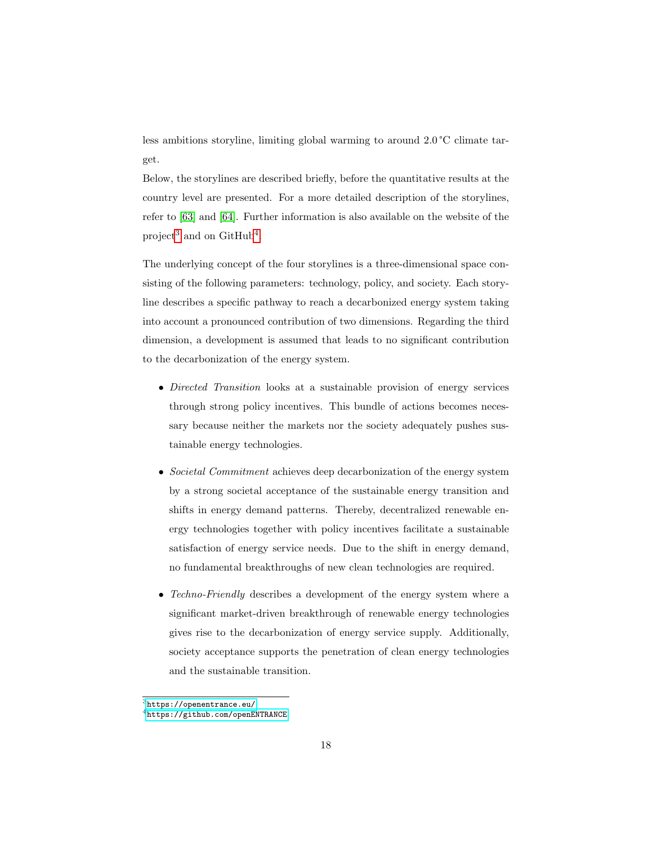less ambitions storyline, limiting global warming to around 2.0 °C climate target.

Below, the storylines are described briefly, before the quantitative results at the country level are presented. For a more detailed description of the storylines, refer to [\[63\]](#page-39-4) and [\[64\]](#page-39-5). Further information is also available on the website of the project<sup>[3](#page-1-0)</sup> and on GitHub<sup>[4](#page-1-0)</sup>.

The underlying concept of the four storylines is a three-dimensional space consisting of the following parameters: technology, policy, and society. Each storyline describes a specific pathway to reach a decarbonized energy system taking into account a pronounced contribution of two dimensions. Regarding the third dimension, a development is assumed that leads to no significant contribution to the decarbonization of the energy system.

- Directed Transition looks at a sustainable provision of energy services through strong policy incentives. This bundle of actions becomes necessary because neither the markets nor the society adequately pushes sustainable energy technologies.
- Societal Commitment achieves deep decarbonization of the energy system by a strong societal acceptance of the sustainable energy transition and shifts in energy demand patterns. Thereby, decentralized renewable energy technologies together with policy incentives facilitate a sustainable satisfaction of energy service needs. Due to the shift in energy demand, no fundamental breakthroughs of new clean technologies are required.
- Techno-Friendly describes a development of the energy system where a significant market-driven breakthrough of renewable energy technologies gives rise to the decarbonization of energy service supply. Additionally, society acceptance supports the penetration of clean energy technologies and the sustainable transition.

 ${}^{3}$ <https://openentrance.eu/>

<sup>4</sup><https://github.com/openENTRANCE>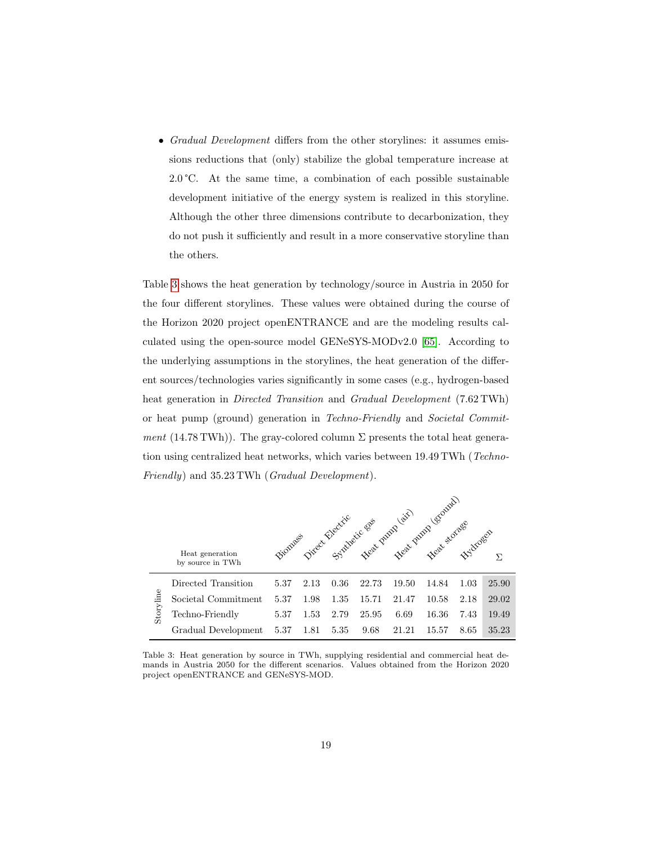• Gradual Development differs from the other storylines: it assumes emissions reductions that (only) stabilize the global temperature increase at  $2.0\degree$ C. At the same time, a combination of each possible sustainable development initiative of the energy system is realized in this storyline. Although the other three dimensions contribute to decarbonization, they do not push it sufficiently and result in a more conservative storyline than the others.

Table [3](#page-19-0) shows the heat generation by technology/source in Austria in 2050 for the four different storylines. These values were obtained during the course of the Horizon 2020 project openENTRANCE and are the modeling results calculated using the open-source model GENeSYS-MODv2.0 [\[65\]](#page-39-6). According to the underlying assumptions in the storylines, the heat generation of the different sources/technologies varies significantly in some cases (e.g., hydrogen-based heat generation in Directed Transition and Gradual Development (7.62 TWh) or heat pump (ground) generation in Techno-Friendly and Societal Commitment (14.78 TWh)). The gray-colored column  $\Sigma$  presents the total heat generation using centralized heat networks, which varies between 19.49 TWh (Techno-Friendly) and 35.23 TWh (Gradual Development).

<span id="page-19-0"></span>

|           | Heat generation<br>by source in TWh |      |      |      | Fiomages Direct Blacking and Dutil air. |       | Heat pump (ground)<br>Heat storage | <b>FYSLOSED</b> | Σ.    |
|-----------|-------------------------------------|------|------|------|-----------------------------------------|-------|------------------------------------|-----------------|-------|
|           | Directed Transition                 | 5.37 | 2.13 | 0.36 | 22.73                                   | 19.50 | 14.84                              | 1.03            | 25.90 |
|           | Societal Commitment                 | 5.37 | 1.98 | 1.35 | 15.71                                   | 21.47 | 10.58                              | 2.18            | 29.02 |
| Storyline | Techno-Friendly                     | 5.37 | 1.53 | 2.79 | 25.95                                   | 6.69  | 16.36                              | 7.43            | 19.49 |
|           | Gradual Development                 | 5.37 | 1.81 | 5.35 | 9.68                                    | 21.21 | 15.57                              | 8.65            | 35.23 |

Table 3: Heat generation by source in TWh, supplying residential and commercial heat demands in Austria 2050 for the different scenarios. Values obtained from the Horizon 2020 project openENTRANCE and GENeSYS-MOD.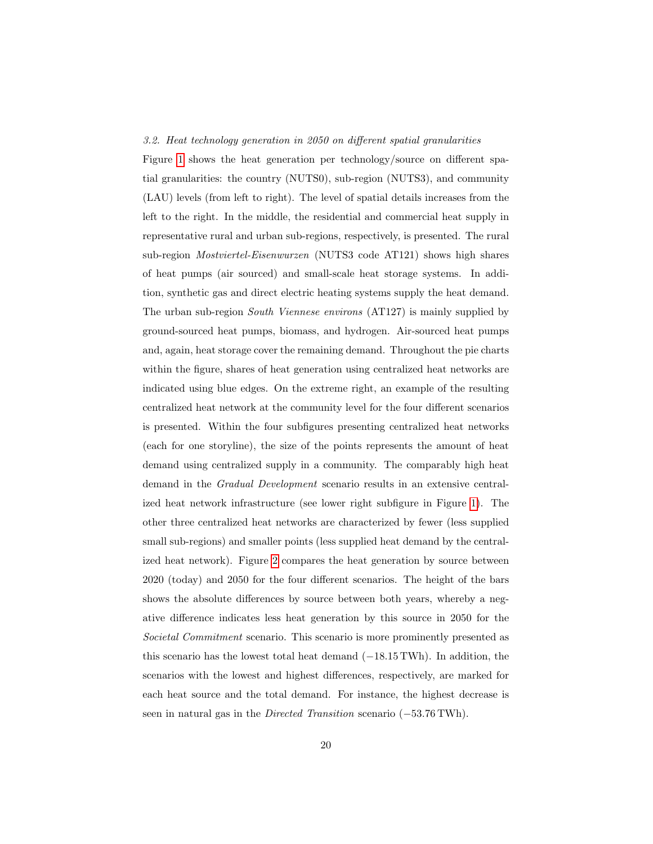#### <span id="page-20-0"></span>3.2. Heat technology generation in 2050 on different spatial granularities

Figure [1](#page-21-0) shows the heat generation per technology/source on different spatial granularities: the country (NUTS0), sub-region (NUTS3), and community (LAU) levels (from left to right). The level of spatial details increases from the left to the right. In the middle, the residential and commercial heat supply in representative rural and urban sub-regions, respectively, is presented. The rural sub-region Mostviertel-Eisenwurzen (NUTS3 code AT121) shows high shares of heat pumps (air sourced) and small-scale heat storage systems. In addition, synthetic gas and direct electric heating systems supply the heat demand. The urban sub-region South Viennese environs (AT127) is mainly supplied by ground-sourced heat pumps, biomass, and hydrogen. Air-sourced heat pumps and, again, heat storage cover the remaining demand. Throughout the pie charts within the figure, shares of heat generation using centralized heat networks are indicated using blue edges. On the extreme right, an example of the resulting centralized heat network at the community level for the four different scenarios is presented. Within the four subfigures presenting centralized heat networks (each for one storyline), the size of the points represents the amount of heat demand using centralized supply in a community. The comparably high heat demand in the Gradual Development scenario results in an extensive centralized heat network infrastructure (see lower right subfigure in Figure [1\)](#page-21-0). The other three centralized heat networks are characterized by fewer (less supplied small sub-regions) and smaller points (less supplied heat demand by the centralized heat network). Figure [2](#page-22-0) compares the heat generation by source between 2020 (today) and 2050 for the four different scenarios. The height of the bars shows the absolute differences by source between both years, whereby a negative difference indicates less heat generation by this source in 2050 for the Societal Commitment scenario. This scenario is more prominently presented as this scenario has the lowest total heat demand (−18.15 TWh). In addition, the scenarios with the lowest and highest differences, respectively, are marked for each heat source and the total demand. For instance, the highest decrease is seen in natural gas in the *Directed Transition* scenario (−53.76 TWh).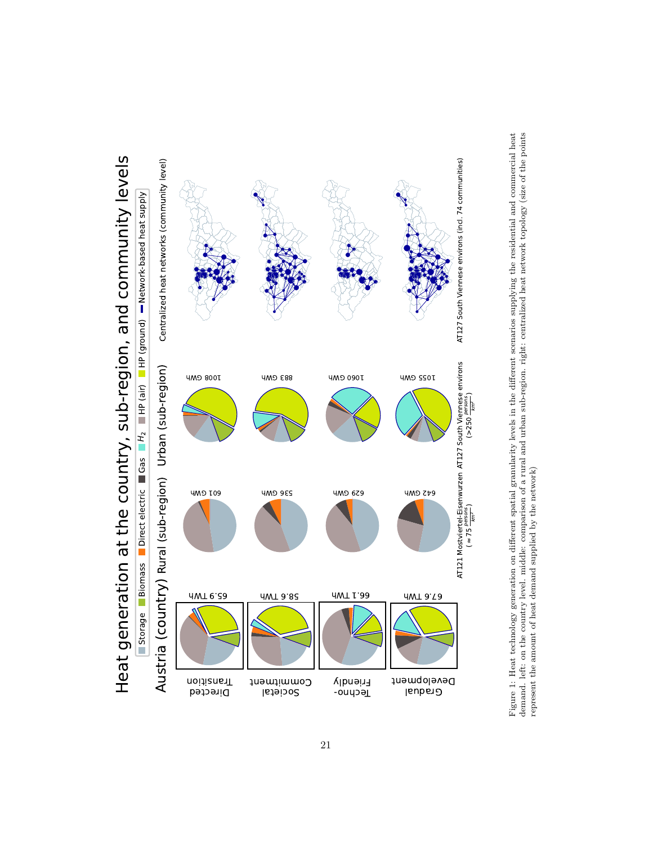<span id="page-21-0"></span>

Figure 1: Heat technology generation on different spatial granularity levels in the different scenarios supplying the residential and commercial heat demand. left: on the country level. middle: comparison of a rural and ur Figure 1: Heat technology generation on different spatial granularity levels in the different scenarios supplying the residential and commercial heat demand. left: on the country level. middle: comparison of a rural and urban sub-region. right: centralized heat network topology (size of the points represent the amount of heat demand supplied by the network)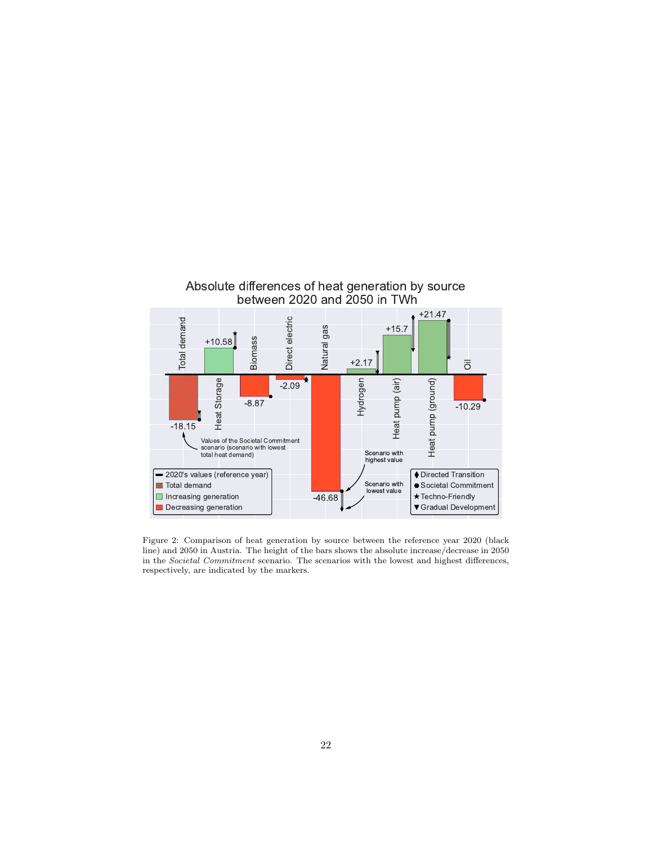<span id="page-22-0"></span>

Figure 2: Comparison of heat generation by source between the reference year 2020 (black line) and 2050 in Austria. The height of the bars shows the absolute increase/decrease in 2050 in the Societal Commitment scenario. The scenarios with the lowest and highest differences, respectively, are indicated by the markers.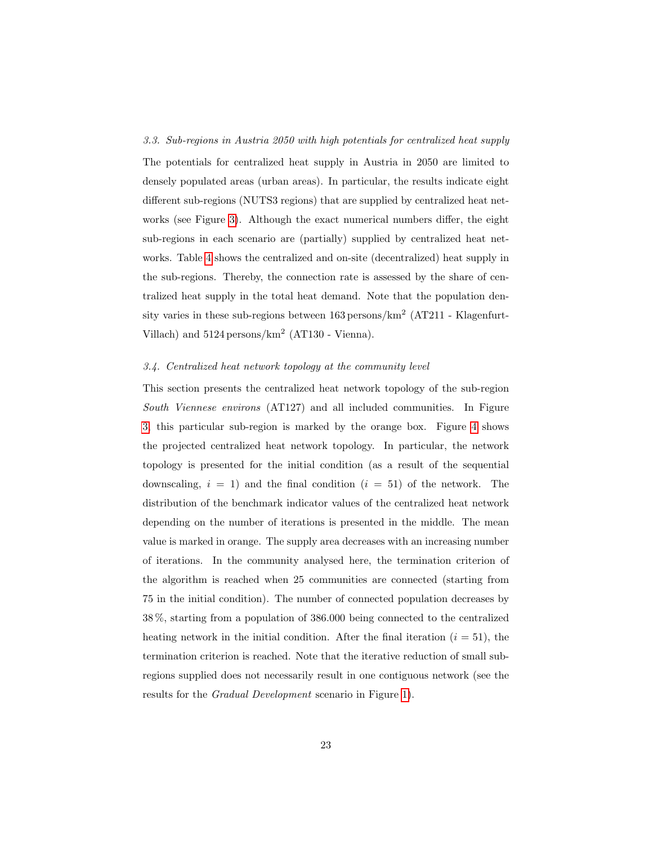#### <span id="page-23-0"></span>3.3. Sub-regions in Austria 2050 with high potentials for centralized heat supply

The potentials for centralized heat supply in Austria in 2050 are limited to densely populated areas (urban areas). In particular, the results indicate eight different sub-regions (NUTS3 regions) that are supplied by centralized heat networks (see Figure [3\)](#page-25-0). Although the exact numerical numbers differ, the eight sub-regions in each scenario are (partially) supplied by centralized heat networks. Table [4](#page-24-0) shows the centralized and on-site (decentralized) heat supply in the sub-regions. Thereby, the connection rate is assessed by the share of centralized heat supply in the total heat demand. Note that the population density varies in these sub-regions between  $163$  persons/km<sup>2</sup> (AT211 - Klagenfurt-Villach) and 5124 persons/km<sup>2</sup> (AT130 - Vienna).

#### <span id="page-23-1"></span>3.4. Centralized heat network topology at the community level

This section presents the centralized heat network topology of the sub-region South Viennese environs (AT127) and all included communities. In Figure [3,](#page-25-0) this particular sub-region is marked by the orange box. Figure [4](#page-26-0) shows the projected centralized heat network topology. In particular, the network topology is presented for the initial condition (as a result of the sequential downscaling,  $i = 1$ ) and the final condition  $(i = 51)$  of the network. The distribution of the benchmark indicator values of the centralized heat network depending on the number of iterations is presented in the middle. The mean value is marked in orange. The supply area decreases with an increasing number of iterations. In the community analysed here, the termination criterion of the algorithm is reached when 25 communities are connected (starting from 75 in the initial condition). The number of connected population decreases by 38 %, starting from a population of 386.000 being connected to the centralized heating network in the initial condition. After the final iteration  $(i = 51)$ , the termination criterion is reached. Note that the iterative reduction of small subregions supplied does not necessarily result in one contiguous network (see the results for the Gradual Development scenario in Figure [1\)](#page-21-0).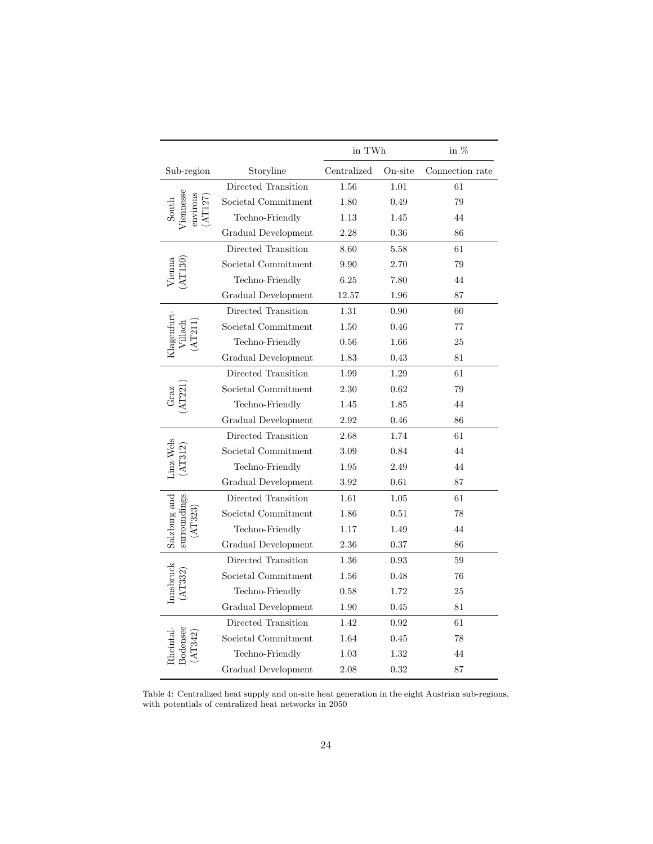<span id="page-24-0"></span>

|                                         |                     | in $\operatorname{TWh}$ |         | in $\%$         |
|-----------------------------------------|---------------------|-------------------------|---------|-----------------|
| Sub-region                              | Storyline           | Centralized             | On-site | Connection rate |
|                                         | Directed Transition | 1.56                    | 1.01    | 61              |
|                                         | Societal Commitment | 1.80                    | 0.49    | 79              |
| <i>l</i> 'iennesse<br>anvirons<br>South | Techno-Friendly     | 1.13                    | 1.45    | 44              |
|                                         | Gradual Development | 2.28                    | 0.36    | 86              |
|                                         | Directed Transition | 8.60                    | 5.58    | 61              |
| ienna                                   | Societal Commitment | 9.90                    | 2.70    | 79              |
|                                         | Techno-Friendly     | 6.25                    | 7.80    | 44              |
|                                         | Gradual Development | 12.57                   | 1.96    | 87              |
|                                         | Directed Transition | 1.31                    | 0.90    | 60              |
|                                         | Societal Commitment | 1.50                    | 0.46    | 77              |
| Klagenfurt-                             | Techno-Friendly     | 0.56                    | 1.66    | 25              |
|                                         | Gradual Development | 1.83                    | 0.43    | 81              |
|                                         | Directed Transition | 1.99                    | 1.29    | 61              |
|                                         | Societal Commitment | 2.30                    | 0.62    | 79              |
|                                         | Techno-Friendly     | 1.45                    | 1.85    | 44              |
|                                         | Gradual Development | $2.92\,$                | 0.46    | 86              |
|                                         | Directed Transition | 2.68                    | 1.74    | 61              |
| $\rm Linz-Wels$                         | Societal Commitment | 3.09                    | 0.84    | 44              |
|                                         | Techno-Friendly     | 1.95                    | 2.49    | 44              |
|                                         | Gradual Development | 3.92                    | 0.61    | 87              |
|                                         | Directed Transition | 1.61                    | 1.05    | 61              |
|                                         | Societal Commitment | 1.86                    | 0.51    | 78              |
| Salzburg and<br>surroundings            | Techno-Friendly     | 1.17                    | 1.49    | 44              |
|                                         | Gradual Development | 2.36                    | 0.37    | 86              |
|                                         | Directed Transition | 1.36                    | 0.93    | 59              |
| Innsbruck                               | Societal Commitment | 1.56                    | 0.48    | 76              |
|                                         | Techno-Friendly     | 0.58                    | 1.72    | 25              |
|                                         | Gradual Development | 1.90                    | 0.45    | 81              |
|                                         | Directed Transition | 1.42                    | 0.92    | 61              |
| 30densee<br>$\operatorname{heintal}$    | Societal Commitment | 1.64                    | 0.45    | 78              |
|                                         | Techno-Friendly     | 1.03                    | 1.32    | 44              |
|                                         | Gradual Development | 2.08                    | 0.32    | 87              |

Table 4: Centralized heat supply and on-site heat generation in the eight Austrian sub-regions, with potentials of centralized heat networks in 2050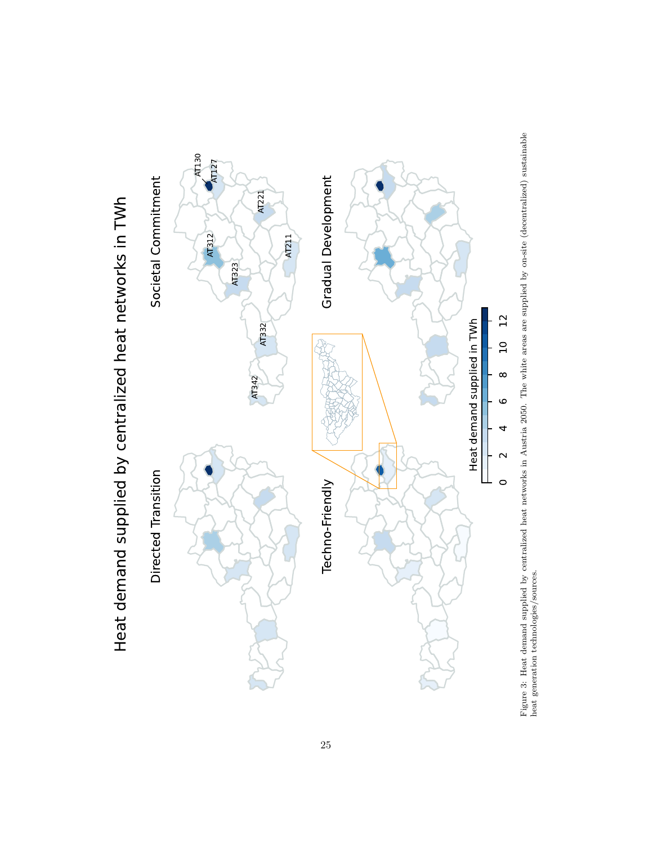<span id="page-25-0"></span>



Heat demand supplied by centralized heat networks in TWh Heat demand supplied by centralized heat networks in TWh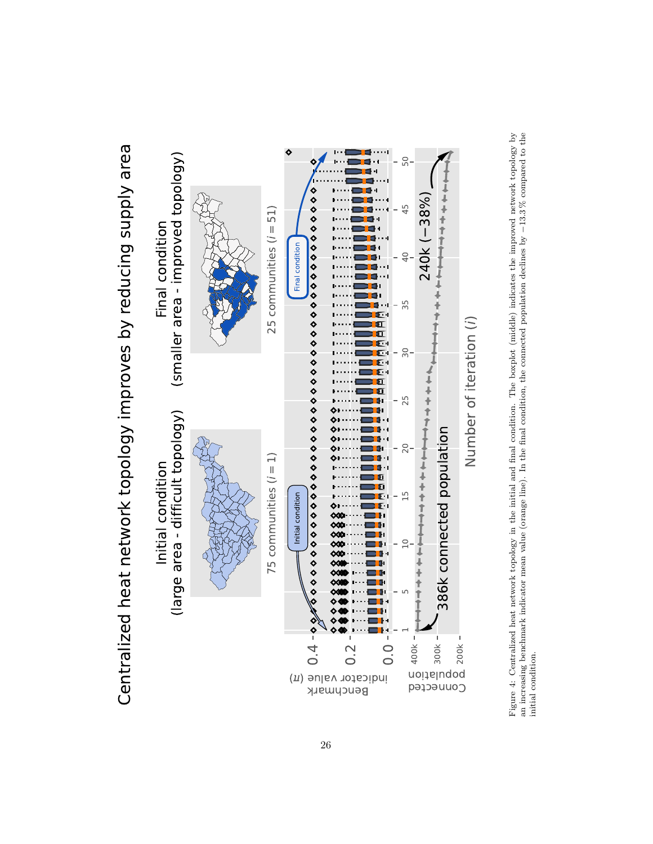<span id="page-26-0"></span>

Centralized heat network topology improves by reducing supply area Centralized heat network topology improves by reducing supply area

Figure 4: Centralized heat network topology in the initial and final condition. The boxplot (middle) indicates the improved network topology by an increasing benchmark indicator mean value (orange line). In the final cond Figure 4: Centralized heat network topology in the initial and final condition. The boxplot (middle) indicates the improved network topology by −13.3 % compared to the an increasing benchmark indicator mean value (orange line). In the final condition, the connected population declines by initial condition.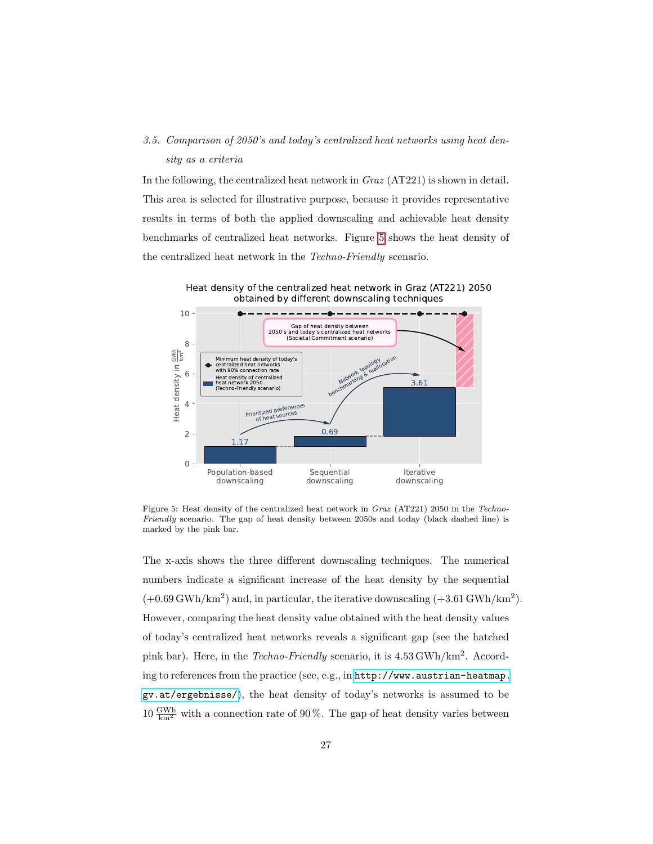## <span id="page-27-0"></span>3.5. Comparison of 2050's and today's centralized heat networks using heat density as a criteria

In the following, the centralized heat network in Graz (AT221) is shown in detail. This area is selected for illustrative purpose, because it provides representative results in terms of both the applied downscaling and achievable heat density benchmarks of centralized heat networks. Figure [5](#page-27-1) shows the heat density of the centralized heat network in the Techno-Friendly scenario.

Heat density of the centralized heat network in Graz (AT221) 2050 obtained by different downscaling techniques

<span id="page-27-1"></span>

Figure 5: Heat density of the centralized heat network in Graz (AT221) 2050 in the Techno-Friendly scenario. The gap of heat density between 2050s and today (black dashed line) is marked by the pink bar.

The x-axis shows the three different downscaling techniques. The numerical numbers indicate a significant increase of the heat density by the sequential  $(+0.69 \text{ GWh/km}^2)$  and, in particular, the iterative downscaling  $(+3.61 \text{ GWh/km}^2)$ . However, comparing the heat density value obtained with the heat density values of today's centralized heat networks reveals a significant gap (see the hatched pink bar). Here, in the Techno-Friendly scenario, it is  $4.53 \text{ GWh}/\text{km}^2$ . According to references from the practice (see, e.g., in [http://www.austrian-heatmap.](http://www.austrian-heatmap.gv.at/ergebnisse/) [gv.at/ergebnisse/](http://www.austrian-heatmap.gv.at/ergebnisse/)), the heat density of today's networks is assumed to be  $10 \frac{\text{GWh}}{\text{km}^2}$  with a connection rate of 90%. The gap of heat density varies between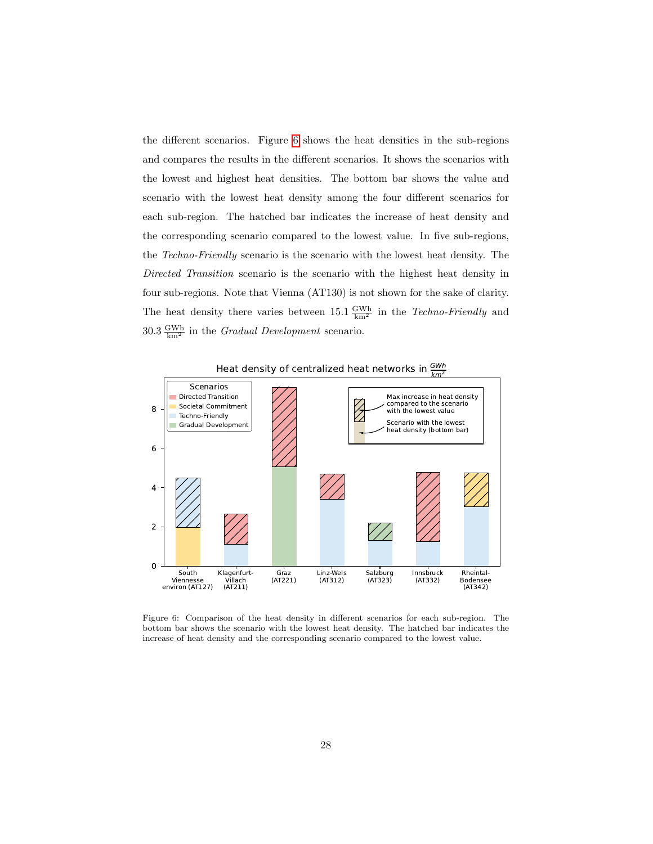the different scenarios. Figure [6](#page-28-0) shows the heat densities in the sub-regions and compares the results in the different scenarios. It shows the scenarios with the lowest and highest heat densities. The bottom bar shows the value and scenario with the lowest heat density among the four different scenarios for each sub-region. The hatched bar indicates the increase of heat density and the corresponding scenario compared to the lowest value. In five sub-regions, the Techno-Friendly scenario is the scenario with the lowest heat density. The Directed Transition scenario is the scenario with the highest heat density in four sub-regions. Note that Vienna (AT130) is not shown for the sake of clarity. The heat density there varies between  $15.1 \frac{GWh}{km^2}$  in the *Techno-Friendly* and  $30.3 \frac{\text{GWh}}{\text{km}^2}$  in the *Gradual Development* scenario.

<span id="page-28-0"></span>

Heat density of centralized heat hetworks in  $\frac{2\pi m}{km^2}$ 

Figure 6: Comparison of the heat density in different scenarios for each sub-region. The bottom bar shows the scenario with the lowest heat density. The hatched bar indicates the increase of heat density and the corresponding scenario compared to the lowest value.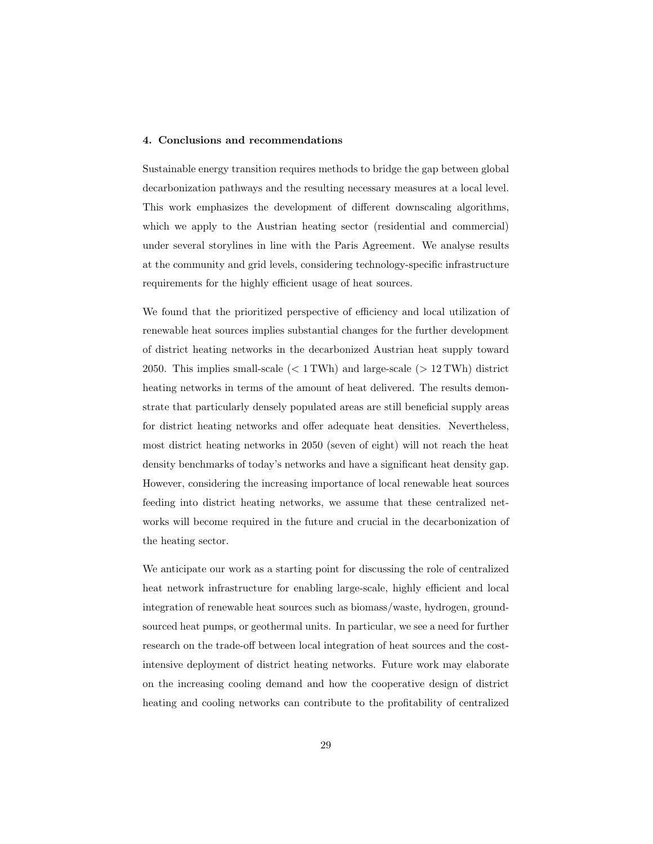#### <span id="page-29-0"></span>4. Conclusions and recommendations

Sustainable energy transition requires methods to bridge the gap between global decarbonization pathways and the resulting necessary measures at a local level. This work emphasizes the development of different downscaling algorithms, which we apply to the Austrian heating sector (residential and commercial) under several storylines in line with the Paris Agreement. We analyse results at the community and grid levels, considering technology-specific infrastructure requirements for the highly efficient usage of heat sources.

We found that the prioritized perspective of efficiency and local utilization of renewable heat sources implies substantial changes for the further development of district heating networks in the decarbonized Austrian heat supply toward 2050. This implies small-scale  $(< 1 \text{ TWh})$  and large-scale  $(> 12 \text{ TWh})$  district heating networks in terms of the amount of heat delivered. The results demonstrate that particularly densely populated areas are still beneficial supply areas for district heating networks and offer adequate heat densities. Nevertheless, most district heating networks in 2050 (seven of eight) will not reach the heat density benchmarks of today's networks and have a significant heat density gap. However, considering the increasing importance of local renewable heat sources feeding into district heating networks, we assume that these centralized networks will become required in the future and crucial in the decarbonization of the heating sector.

We anticipate our work as a starting point for discussing the role of centralized heat network infrastructure for enabling large-scale, highly efficient and local integration of renewable heat sources such as biomass/waste, hydrogen, groundsourced heat pumps, or geothermal units. In particular, we see a need for further research on the trade-off between local integration of heat sources and the costintensive deployment of district heating networks. Future work may elaborate on the increasing cooling demand and how the cooperative design of district heating and cooling networks can contribute to the profitability of centralized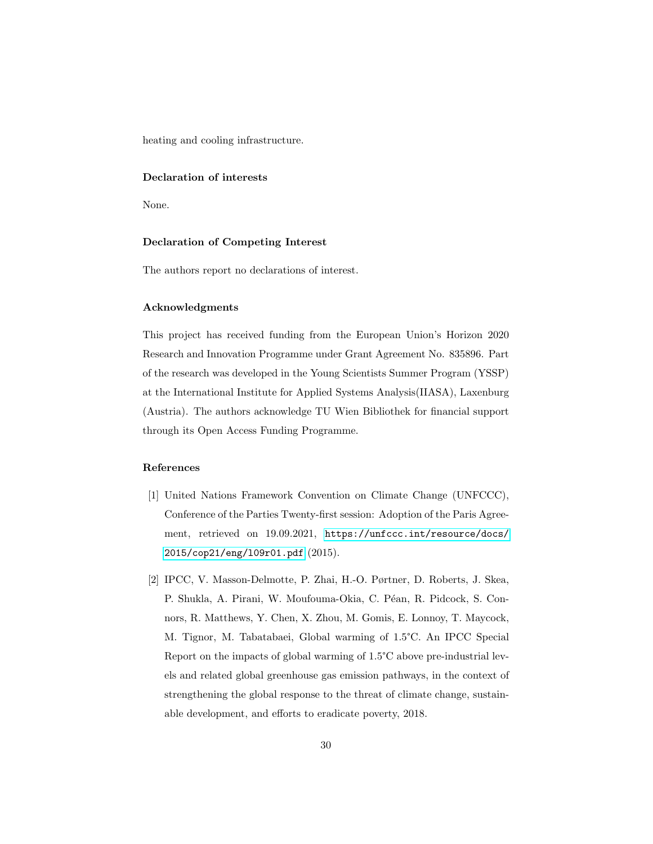heating and cooling infrastructure.

#### Declaration of interests

None.

#### Declaration of Competing Interest

The authors report no declarations of interest.

#### Acknowledgments

This project has received funding from the European Union's Horizon 2020 Research and Innovation Programme under Grant Agreement No. 835896. Part of the research was developed in the Young Scientists Summer Program (YSSP) at the International Institute for Applied Systems Analysis(IIASA), Laxenburg (Austria). The authors acknowledge TU Wien Bibliothek for financial support through its Open Access Funding Programme.

## References

- <span id="page-30-0"></span>[1] United Nations Framework Convention on Climate Change (UNFCCC), Conference of the Parties Twenty-first session: Adoption of the Paris Agreement, retrieved on 19.09.2021, [https://unfccc.int/resource/docs/](https://unfccc.int/resource/docs/2015/cop21/eng/l09r01.pdf) [2015/cop21/eng/l09r01.pdf](https://unfccc.int/resource/docs/2015/cop21/eng/l09r01.pdf) (2015).
- <span id="page-30-1"></span>[2] IPCC, V. Masson-Delmotte, P. Zhai, H.-O. Pørtner, D. Roberts, J. Skea, P. Shukla, A. Pirani, W. Moufouma-Okia, C. Péan, R. Pidcock, S. Connors, R. Matthews, Y. Chen, X. Zhou, M. Gomis, E. Lonnoy, T. Maycock, M. Tignor, M. Tabatabaei, Global warming of 1.5°C. An IPCC Special Report on the impacts of global warming of 1.5°C above pre-industrial levels and related global greenhouse gas emission pathways, in the context of strengthening the global response to the threat of climate change, sustainable development, and efforts to eradicate poverty, 2018.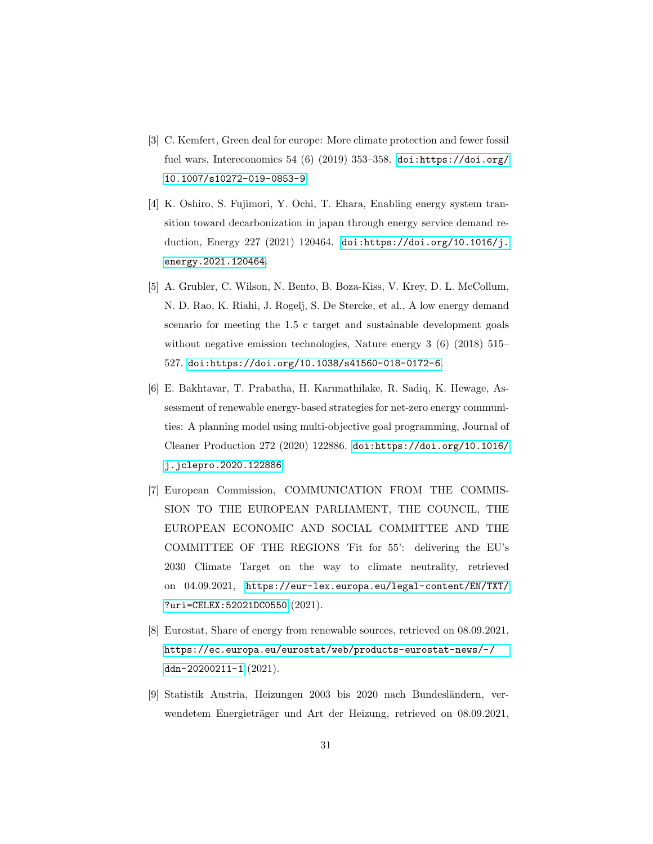- <span id="page-31-0"></span>[3] C. Kemfert, Green deal for europe: More climate protection and fewer fossil fuel wars, Intereconomics 54 (6) (2019) 353-358. [doi:https://doi.org/](https://doi.org/https://doi.org/10.1007/s10272-019-0853-9) [10.1007/s10272-019-0853-9](https://doi.org/https://doi.org/10.1007/s10272-019-0853-9).
- <span id="page-31-1"></span>[4] K. Oshiro, S. Fujimori, Y. Ochi, T. Ehara, Enabling energy system transition toward decarbonization in japan through energy service demand reduction, Energy 227 (2021) 120464. [doi:https://doi.org/10.1016/j.](https://doi.org/https://doi.org/10.1016/j.energy.2021.120464) [energy.2021.120464](https://doi.org/https://doi.org/10.1016/j.energy.2021.120464).
- <span id="page-31-2"></span>[5] A. Grubler, C. Wilson, N. Bento, B. Boza-Kiss, V. Krey, D. L. McCollum, N. D. Rao, K. Riahi, J. Rogelj, S. De Stercke, et al., A low energy demand scenario for meeting the 1.5 c target and sustainable development goals without negative emission technologies, Nature energy 3 (6) (2018) 515– 527. [doi:https://doi.org/10.1038/s41560-018-0172-6](https://doi.org/https://doi.org/10.1038/s41560-018-0172-6).
- <span id="page-31-3"></span>[6] E. Bakhtavar, T. Prabatha, H. Karunathilake, R. Sadiq, K. Hewage, Assessment of renewable energy-based strategies for net-zero energy communities: A planning model using multi-objective goal programming, Journal of Cleaner Production 272 (2020) 122886. [doi:https://doi.org/10.1016/](https://doi.org/https://doi.org/10.1016/j.jclepro.2020.122886) [j.jclepro.2020.122886](https://doi.org/https://doi.org/10.1016/j.jclepro.2020.122886).
- <span id="page-31-4"></span>[7] European Commission, COMMUNICATION FROM THE COMMIS-SION TO THE EUROPEAN PARLIAMENT, THE COUNCIL, THE EUROPEAN ECONOMIC AND SOCIAL COMMITTEE AND THE COMMITTEE OF THE REGIONS 'Fit for 55': delivering the EU's 2030 Climate Target on the way to climate neutrality, retrieved on 04.09.2021, [https://eur-lex.europa.eu/legal-content/EN/TXT/](https://eur-lex.europa.eu/legal-content/EN/TXT/?uri=CELEX:52021DC0550) [?uri=CELEX:52021DC0550](https://eur-lex.europa.eu/legal-content/EN/TXT/?uri=CELEX:52021DC0550) (2021).
- <span id="page-31-5"></span>[8] Eurostat, Share of energy from renewable sources, retrieved on 08.09.2021, [https://ec.europa.eu/eurostat/web/products-eurostat-news/-/](https://ec.europa.eu/eurostat/web/products-eurostat-news/-/ddn-20200211-1) [ddn-20200211-1](https://ec.europa.eu/eurostat/web/products-eurostat-news/-/ddn-20200211-1) (2021).
- <span id="page-31-6"></span>[9] Statistik Austria, Heizungen 2003 bis 2020 nach Bundesländern, verwendetem Energieträger und Art der Heizung, retrieved on 08.09.2021,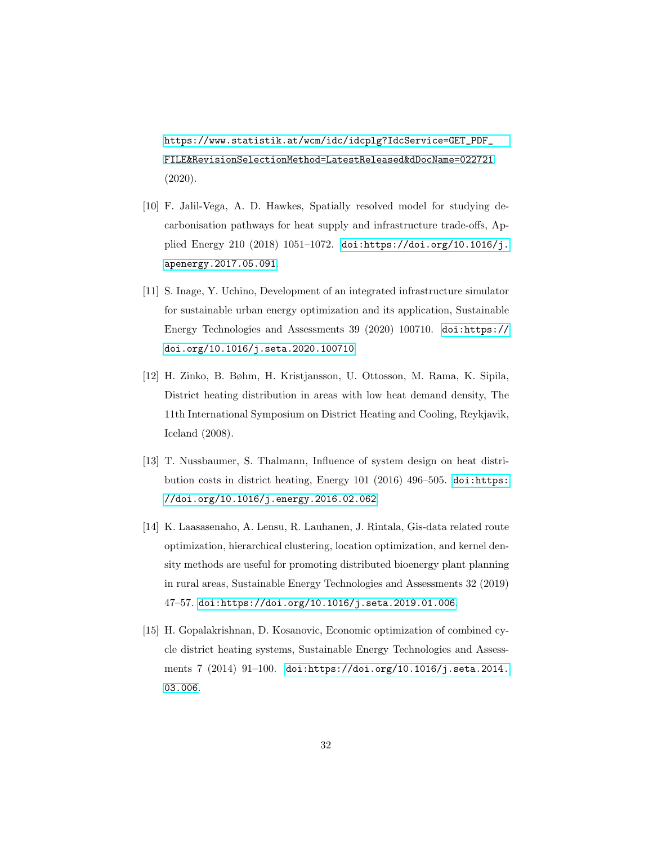[https://www.statistik.at/wcm/idc/idcplg?IdcService=GET\\_PDF\\_](https://www.statistik.at/wcm/idc/idcplg?IdcService=GET_PDF_FILE&RevisionSelectionMethod=LatestReleased&dDocName=022721) [FILE&RevisionSelectionMethod=LatestReleased&dDocName=022721](https://www.statistik.at/wcm/idc/idcplg?IdcService=GET_PDF_FILE&RevisionSelectionMethod=LatestReleased&dDocName=022721) (2020).

- <span id="page-32-0"></span>[10] F. Jalil-Vega, A. D. Hawkes, Spatially resolved model for studying decarbonisation pathways for heat supply and infrastructure trade-offs, Applied Energy 210 (2018) 1051–1072. [doi:https://doi.org/10.1016/j.](https://doi.org/https://doi.org/10.1016/j.apenergy.2017.05.091) [apenergy.2017.05.091](https://doi.org/https://doi.org/10.1016/j.apenergy.2017.05.091).
- <span id="page-32-1"></span>[11] S. Inage, Y. Uchino, Development of an integrated infrastructure simulator for sustainable urban energy optimization and its application, Sustainable Energy Technologies and Assessments 39 (2020) 100710. [doi:https://](https://doi.org/https://doi.org/10.1016/j.seta.2020.100710) [doi.org/10.1016/j.seta.2020.100710](https://doi.org/https://doi.org/10.1016/j.seta.2020.100710).
- <span id="page-32-2"></span>[12] H. Zinko, B. Bøhm, H. Kristjansson, U. Ottosson, M. Rama, K. Sipila, District heating distribution in areas with low heat demand density, The 11th International Symposium on District Heating and Cooling, Reykjavik, Iceland (2008).
- <span id="page-32-3"></span>[13] T. Nussbaumer, S. Thalmann, Influence of system design on heat distribution costs in district heating, Energy 101 (2016) 496–505. [doi:https:](https://doi.org/https://doi.org/10.1016/j.energy.2016.02.062) [//doi.org/10.1016/j.energy.2016.02.062](https://doi.org/https://doi.org/10.1016/j.energy.2016.02.062).
- <span id="page-32-4"></span>[14] K. Laasasenaho, A. Lensu, R. Lauhanen, J. Rintala, Gis-data related route optimization, hierarchical clustering, location optimization, and kernel density methods are useful for promoting distributed bioenergy plant planning in rural areas, Sustainable Energy Technologies and Assessments 32 (2019) 47–57. [doi:https://doi.org/10.1016/j.seta.2019.01.006](https://doi.org/https://doi.org/10.1016/j.seta.2019.01.006).
- <span id="page-32-5"></span>[15] H. Gopalakrishnan, D. Kosanovic, Economic optimization of combined cycle district heating systems, Sustainable Energy Technologies and Assessments 7 (2014) 91–100. [doi:https://doi.org/10.1016/j.seta.2014.](https://doi.org/https://doi.org/10.1016/j.seta.2014.03.006) [03.006](https://doi.org/https://doi.org/10.1016/j.seta.2014.03.006).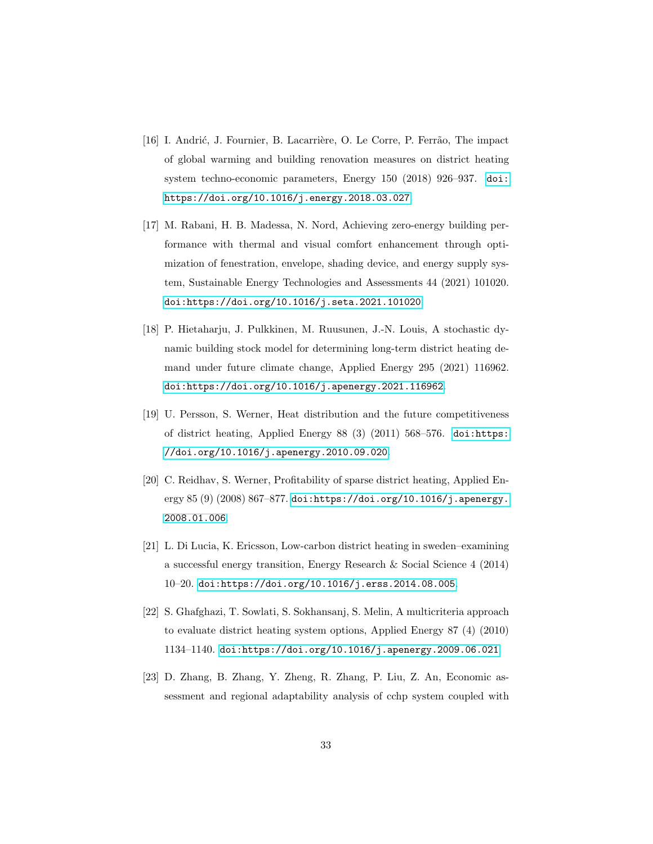- <span id="page-33-0"></span>[16] I. Andrić, J. Fournier, B. Lacarrière, O. Le Corre, P. Ferrão, The impact of global warming and building renovation measures on district heating system techno-economic parameters, Energy 150 (2018) 926–937. [doi:](https://doi.org/https://doi.org/10.1016/j.energy.2018.03.027) [https://doi.org/10.1016/j.energy.2018.03.027](https://doi.org/https://doi.org/10.1016/j.energy.2018.03.027).
- <span id="page-33-1"></span>[17] M. Rabani, H. B. Madessa, N. Nord, Achieving zero-energy building performance with thermal and visual comfort enhancement through optimization of fenestration, envelope, shading device, and energy supply system, Sustainable Energy Technologies and Assessments 44 (2021) 101020. [doi:https://doi.org/10.1016/j.seta.2021.101020](https://doi.org/https://doi.org/10.1016/j.seta.2021.101020).
- <span id="page-33-2"></span>[18] P. Hietaharju, J. Pulkkinen, M. Ruusunen, J.-N. Louis, A stochastic dynamic building stock model for determining long-term district heating demand under future climate change, Applied Energy 295 (2021) 116962. [doi:https://doi.org/10.1016/j.apenergy.2021.116962](https://doi.org/https://doi.org/10.1016/j.apenergy.2021.116962).
- <span id="page-33-3"></span>[19] U. Persson, S. Werner, Heat distribution and the future competitiveness of district heating, Applied Energy 88 (3) (2011) 568–576. [doi:https:](https://doi.org/https://doi.org/10.1016/j.apenergy.2010.09.020) [//doi.org/10.1016/j.apenergy.2010.09.020](https://doi.org/https://doi.org/10.1016/j.apenergy.2010.09.020).
- <span id="page-33-4"></span>[20] C. Reidhav, S. Werner, Profitability of sparse district heating, Applied Energy 85 (9) (2008) 867–877. [doi:https://doi.org/10.1016/j.apenergy.](https://doi.org/https://doi.org/10.1016/j.apenergy.2008.01.006) [2008.01.006](https://doi.org/https://doi.org/10.1016/j.apenergy.2008.01.006).
- <span id="page-33-5"></span>[21] L. Di Lucia, K. Ericsson, Low-carbon district heating in sweden–examining a successful energy transition, Energy Research & Social Science 4 (2014) 10–20. [doi:https://doi.org/10.1016/j.erss.2014.08.005](https://doi.org/https://doi.org/10.1016/j.erss.2014.08.005).
- <span id="page-33-6"></span>[22] S. Ghafghazi, T. Sowlati, S. Sokhansanj, S. Melin, A multicriteria approach to evaluate district heating system options, Applied Energy 87 (4) (2010) 1134–1140. [doi:https://doi.org/10.1016/j.apenergy.2009.06.021](https://doi.org/https://doi.org/10.1016/j.apenergy.2009.06.021).
- <span id="page-33-7"></span>[23] D. Zhang, B. Zhang, Y. Zheng, R. Zhang, P. Liu, Z. An, Economic assessment and regional adaptability analysis of cchp system coupled with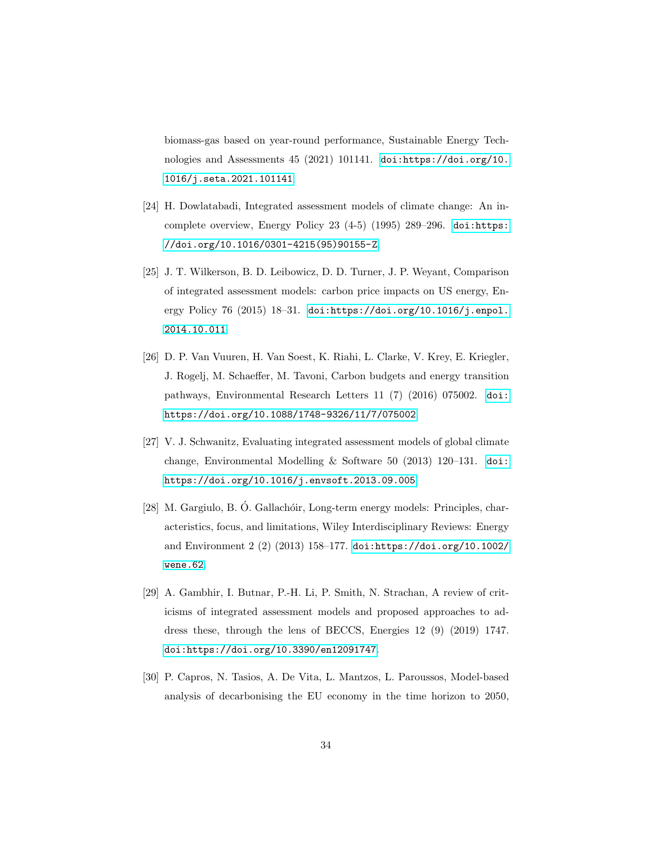biomass-gas based on year-round performance, Sustainable Energy Technologies and Assessments 45 (2021) 101141. [doi:https://doi.org/10.](https://doi.org/https://doi.org/10.1016/j.seta.2021.101141) [1016/j.seta.2021.101141](https://doi.org/https://doi.org/10.1016/j.seta.2021.101141).

- <span id="page-34-0"></span>[24] H. Dowlatabadi, Integrated assessment models of climate change: An incomplete overview, Energy Policy 23 (4-5) (1995) 289–296. [doi:https:](https://doi.org/https://doi.org/10.1016/0301-4215(95)90155-Z) [//doi.org/10.1016/0301-4215\(95\)90155-Z](https://doi.org/https://doi.org/10.1016/0301-4215(95)90155-Z).
- <span id="page-34-1"></span>[25] J. T. Wilkerson, B. D. Leibowicz, D. D. Turner, J. P. Weyant, Comparison of integrated assessment models: carbon price impacts on US energy, Energy Policy 76 (2015) 18–31. [doi:https://doi.org/10.1016/j.enpol.](https://doi.org/https://doi.org/10.1016/j.enpol.2014.10.011) [2014.10.011](https://doi.org/https://doi.org/10.1016/j.enpol.2014.10.011).
- <span id="page-34-2"></span>[26] D. P. Van Vuuren, H. Van Soest, K. Riahi, L. Clarke, V. Krey, E. Kriegler, J. Rogelj, M. Schaeffer, M. Tavoni, Carbon budgets and energy transition pathways, Environmental Research Letters 11 (7) (2016) 075002. [doi:](https://doi.org/https://doi.org/10.1088/1748-9326/11/7/075002) [https://doi.org/10.1088/1748-9326/11/7/075002](https://doi.org/https://doi.org/10.1088/1748-9326/11/7/075002).
- <span id="page-34-3"></span>[27] V. J. Schwanitz, Evaluating integrated assessment models of global climate change, Environmental Modelling & Software 50 (2013) 120–131. [doi:](https://doi.org/https://doi.org/10.1016/j.envsoft.2013.09.005) [https://doi.org/10.1016/j.envsoft.2013.09.005](https://doi.org/https://doi.org/10.1016/j.envsoft.2013.09.005).
- <span id="page-34-4"></span>[28] M. Gargiulo, B. Ó. Gallachóir, Long-term energy models: Principles, characteristics, focus, and limitations, Wiley Interdisciplinary Reviews: Energy and Environment 2 (2) (2013) 158–177. [doi:https://doi.org/10.1002/](https://doi.org/https://doi.org/10.1002/wene.62) [wene.62](https://doi.org/https://doi.org/10.1002/wene.62).
- <span id="page-34-5"></span>[29] A. Gambhir, I. Butnar, P.-H. Li, P. Smith, N. Strachan, A review of criticisms of integrated assessment models and proposed approaches to address these, through the lens of BECCS, Energies 12 (9) (2019) 1747. [doi:https://doi.org/10.3390/en12091747](https://doi.org/https://doi.org/10.3390/en12091747).
- <span id="page-34-6"></span>[30] P. Capros, N. Tasios, A. De Vita, L. Mantzos, L. Paroussos, Model-based analysis of decarbonising the EU economy in the time horizon to 2050,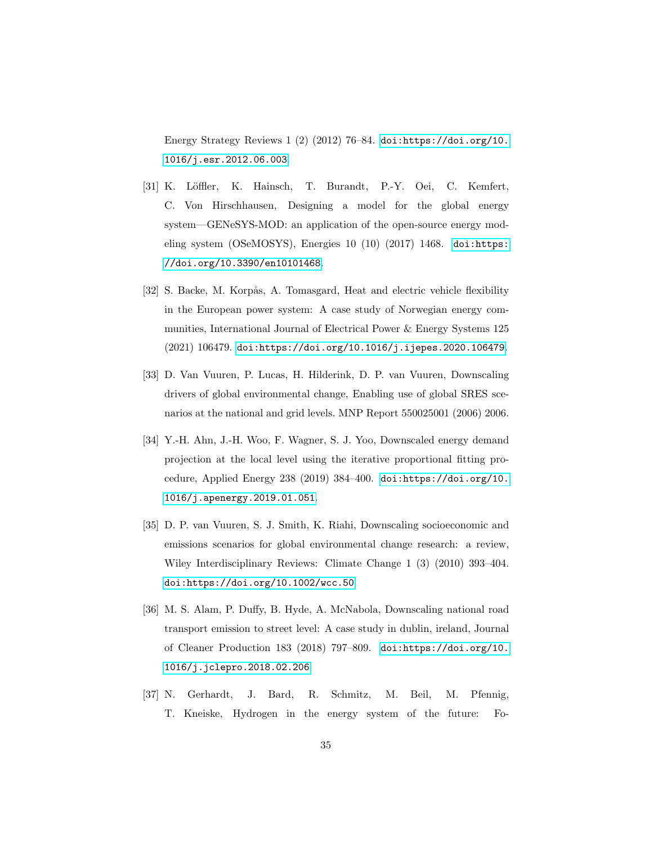Energy Strategy Reviews 1 (2) (2012) 76–84. [doi:https://doi.org/10.](https://doi.org/https://doi.org/10.1016/j.esr.2012.06.003) [1016/j.esr.2012.06.003](https://doi.org/https://doi.org/10.1016/j.esr.2012.06.003).

- <span id="page-35-0"></span>[31] K. Löffler, K. Hainsch, T. Burandt, P.-Y. Oei, C. Kemfert, C. Von Hirschhausen, Designing a model for the global energy system—GENeSYS-MOD: an application of the open-source energy modeling system (OSeMOSYS), Energies 10 (10) (2017) 1468. [doi:https:](https://doi.org/https://doi.org/10.3390/en10101468) [//doi.org/10.3390/en10101468](https://doi.org/https://doi.org/10.3390/en10101468).
- <span id="page-35-1"></span>[32] S. Backe, M. Korpås, A. Tomasgard, Heat and electric vehicle flexibility in the European power system: A case study of Norwegian energy communities, International Journal of Electrical Power & Energy Systems 125 (2021) 106479. [doi:https://doi.org/10.1016/j.ijepes.2020.106479](https://doi.org/https://doi.org/10.1016/j.ijepes.2020.106479).
- <span id="page-35-2"></span>[33] D. Van Vuuren, P. Lucas, H. Hilderink, D. P. van Vuuren, Downscaling drivers of global environmental change, Enabling use of global SRES scenarios at the national and grid levels. MNP Report 550025001 (2006) 2006.
- <span id="page-35-3"></span>[34] Y.-H. Ahn, J.-H. Woo, F. Wagner, S. J. Yoo, Downscaled energy demand projection at the local level using the iterative proportional fitting procedure, Applied Energy 238 (2019) 384–400. [doi:https://doi.org/10.](https://doi.org/https://doi.org/10.1016/j.apenergy.2019.01.051) [1016/j.apenergy.2019.01.051](https://doi.org/https://doi.org/10.1016/j.apenergy.2019.01.051).
- <span id="page-35-4"></span>[35] D. P. van Vuuren, S. J. Smith, K. Riahi, Downscaling socioeconomic and emissions scenarios for global environmental change research: a review, Wiley Interdisciplinary Reviews: Climate Change 1 (3) (2010) 393–404. [doi:https://doi.org/10.1002/wcc.50](https://doi.org/https://doi.org/10.1002/wcc.50).
- <span id="page-35-5"></span>[36] M. S. Alam, P. Duffy, B. Hyde, A. McNabola, Downscaling national road transport emission to street level: A case study in dublin, ireland, Journal of Cleaner Production 183 (2018) 797–809. [doi:https://doi.org/10.](https://doi.org/https://doi.org/10.1016/j.jclepro.2018.02.206) [1016/j.jclepro.2018.02.206](https://doi.org/https://doi.org/10.1016/j.jclepro.2018.02.206).
- <span id="page-35-6"></span>[37] N. Gerhardt, J. Bard, R. Schmitz, M. Beil, M. Pfennig, T. Kneiske, Hydrogen in the energy system of the future: Fo-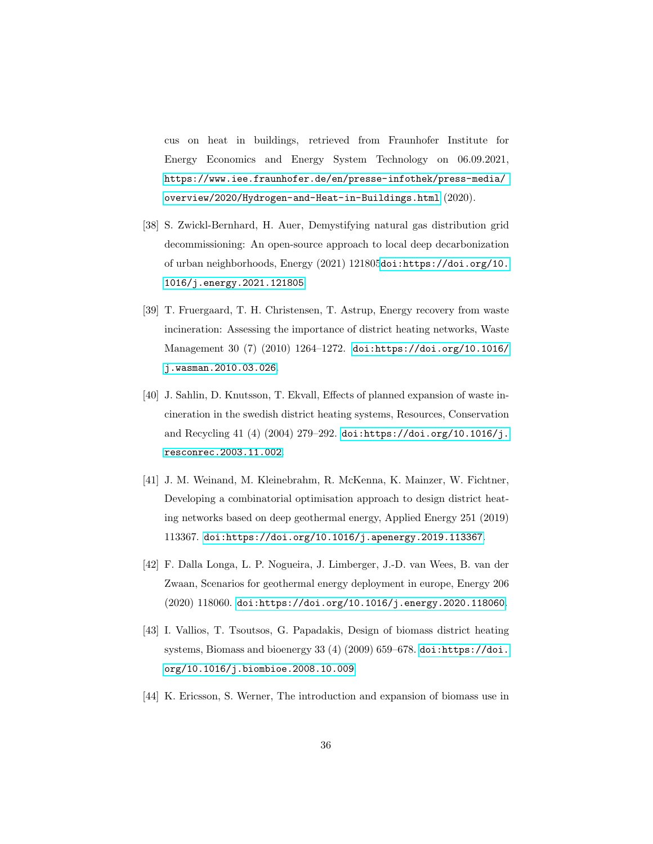cus on heat in buildings, retrieved from Fraunhofer Institute for Energy Economics and Energy System Technology on 06.09.2021, [https://www.iee.fraunhofer.de/en/presse-infothek/press-media/](https://www.iee.fraunhofer.de/en/presse-infothek/press-media/overview/2020/Hydrogen-and-Heat-in-Buildings.html) [overview/2020/Hydrogen-and-Heat-in-Buildings.html](https://www.iee.fraunhofer.de/en/presse-infothek/press-media/overview/2020/Hydrogen-and-Heat-in-Buildings.html) (2020).

- <span id="page-36-0"></span>[38] S. Zwickl-Bernhard, H. Auer, Demystifying natural gas distribution grid decommissioning: An open-source approach to local deep decarbonization of urban neighborhoods, Energy (2021) 121805[doi:https://doi.org/10.](https://doi.org/https://doi.org/10.1016/j.energy.2021.121805) [1016/j.energy.2021.121805](https://doi.org/https://doi.org/10.1016/j.energy.2021.121805).
- <span id="page-36-1"></span>[39] T. Fruergaard, T. H. Christensen, T. Astrup, Energy recovery from waste incineration: Assessing the importance of district heating networks, Waste Management 30 (7) (2010) 1264–1272. [doi:https://doi.org/10.1016/](https://doi.org/https://doi.org/10.1016/j.wasman.2010.03.026) [j.wasman.2010.03.026](https://doi.org/https://doi.org/10.1016/j.wasman.2010.03.026).
- <span id="page-36-2"></span>[40] J. Sahlin, D. Knutsson, T. Ekvall, Effects of planned expansion of waste incineration in the swedish district heating systems, Resources, Conservation and Recycling 41 (4) (2004) 279–292. [doi:https://doi.org/10.1016/j.](https://doi.org/https://doi.org/10.1016/j.resconrec.2003.11.002) [resconrec.2003.11.002](https://doi.org/https://doi.org/10.1016/j.resconrec.2003.11.002).
- <span id="page-36-3"></span>[41] J. M. Weinand, M. Kleinebrahm, R. McKenna, K. Mainzer, W. Fichtner, Developing a combinatorial optimisation approach to design district heating networks based on deep geothermal energy, Applied Energy 251 (2019) 113367. [doi:https://doi.org/10.1016/j.apenergy.2019.113367](https://doi.org/https://doi.org/10.1016/j.apenergy.2019.113367).
- <span id="page-36-4"></span>[42] F. Dalla Longa, L. P. Nogueira, J. Limberger, J.-D. van Wees, B. van der Zwaan, Scenarios for geothermal energy deployment in europe, Energy 206 (2020) 118060. [doi:https://doi.org/10.1016/j.energy.2020.118060](https://doi.org/https://doi.org/10.1016/j.energy.2020.118060).
- <span id="page-36-5"></span>[43] I. Vallios, T. Tsoutsos, G. Papadakis, Design of biomass district heating systems, Biomass and bioenergy 33 (4) (2009) 659–678. [doi:https://doi.](https://doi.org/https://doi.org/10.1016/j.biombioe.2008.10.009) [org/10.1016/j.biombioe.2008.10.009](https://doi.org/https://doi.org/10.1016/j.biombioe.2008.10.009).
- <span id="page-36-6"></span>[44] K. Ericsson, S. Werner, The introduction and expansion of biomass use in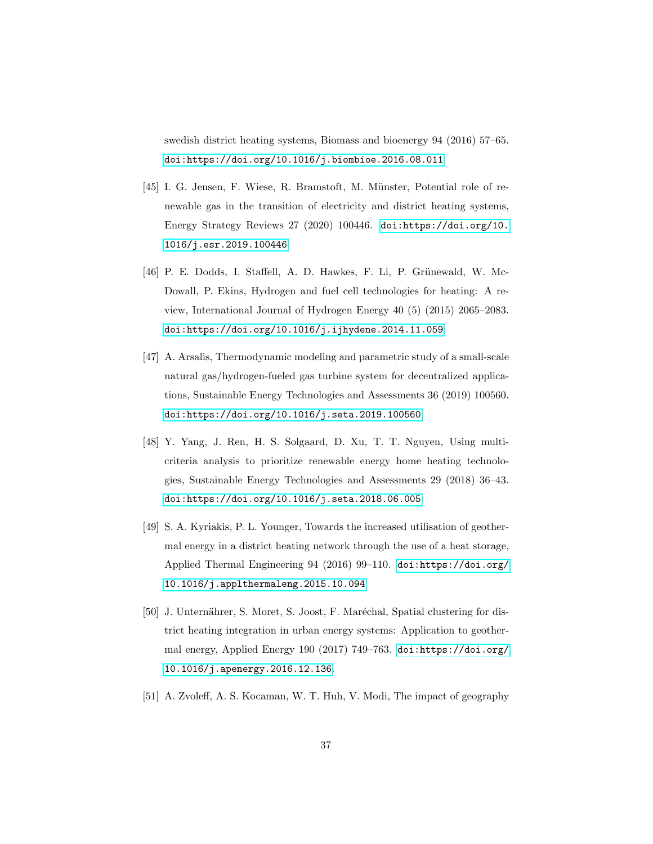swedish district heating systems, Biomass and bioenergy 94 (2016) 57–65. [doi:https://doi.org/10.1016/j.biombioe.2016.08.011](https://doi.org/https://doi.org/10.1016/j.biombioe.2016.08.011).

- <span id="page-37-0"></span>[45] I. G. Jensen, F. Wiese, R. Bramstoft, M. Münster, Potential role of renewable gas in the transition of electricity and district heating systems, Energy Strategy Reviews 27 (2020) 100446. [doi:https://doi.org/10.](https://doi.org/https://doi.org/10.1016/j.esr.2019.100446) [1016/j.esr.2019.100446](https://doi.org/https://doi.org/10.1016/j.esr.2019.100446).
- <span id="page-37-1"></span>[46] P. E. Dodds, I. Staffell, A. D. Hawkes, F. Li, P. Grünewald, W. Mc-Dowall, P. Ekins, Hydrogen and fuel cell technologies for heating: A review, International Journal of Hydrogen Energy 40 (5) (2015) 2065–2083. [doi:https://doi.org/10.1016/j.ijhydene.2014.11.059](https://doi.org/https://doi.org/10.1016/j.ijhydene.2014.11.059).
- <span id="page-37-2"></span>[47] A. Arsalis, Thermodynamic modeling and parametric study of a small-scale natural gas/hydrogen-fueled gas turbine system for decentralized applications, Sustainable Energy Technologies and Assessments 36 (2019) 100560. [doi:https://doi.org/10.1016/j.seta.2019.100560](https://doi.org/https://doi.org/10.1016/j.seta.2019.100560).
- <span id="page-37-3"></span>[48] Y. Yang, J. Ren, H. S. Solgaard, D. Xu, T. T. Nguyen, Using multicriteria analysis to prioritize renewable energy home heating technologies, Sustainable Energy Technologies and Assessments 29 (2018) 36–43. [doi:https://doi.org/10.1016/j.seta.2018.06.005](https://doi.org/https://doi.org/10.1016/j.seta.2018.06.005).
- <span id="page-37-4"></span>[49] S. A. Kyriakis, P. L. Younger, Towards the increased utilisation of geothermal energy in a district heating network through the use of a heat storage, Applied Thermal Engineering 94 (2016) 99–110. [doi:https://doi.org/](https://doi.org/https://doi.org/10.1016/j.applthermaleng.2015.10.094) [10.1016/j.applthermaleng.2015.10.094](https://doi.org/https://doi.org/10.1016/j.applthermaleng.2015.10.094).
- <span id="page-37-5"></span>[50] J. Unternährer, S. Moret, S. Joost, F. Maréchal, Spatial clustering for district heating integration in urban energy systems: Application to geothermal energy, Applied Energy 190 (2017) 749–763. [doi:https://doi.org/](https://doi.org/https://doi.org/10.1016/j.apenergy.2016.12.136) [10.1016/j.apenergy.2016.12.136](https://doi.org/https://doi.org/10.1016/j.apenergy.2016.12.136).
- <span id="page-37-6"></span>[51] A. Zvoleff, A. S. Kocaman, W. T. Huh, V. Modi, The impact of geography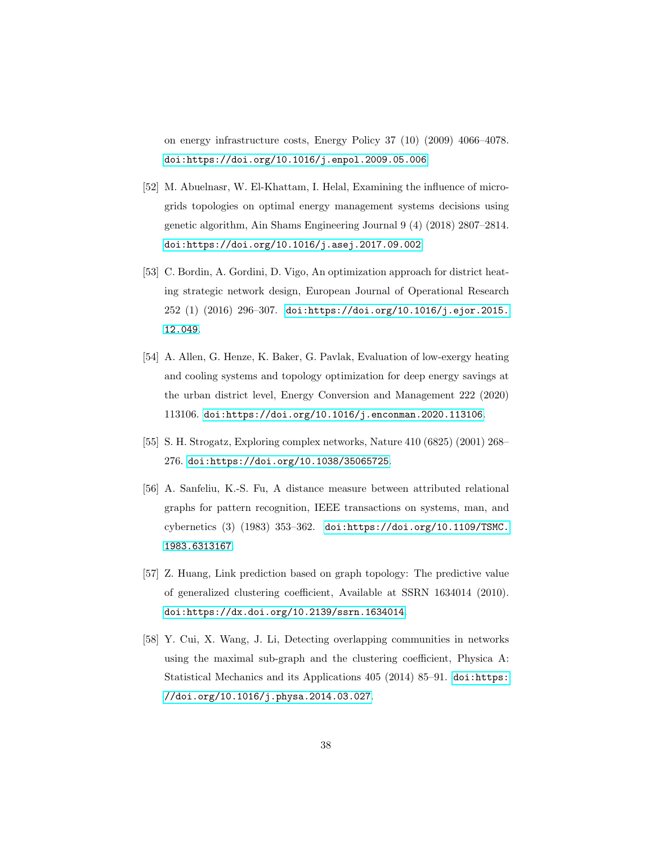on energy infrastructure costs, Energy Policy 37 (10) (2009) 4066–4078. [doi:https://doi.org/10.1016/j.enpol.2009.05.006](https://doi.org/https://doi.org/10.1016/j.enpol.2009.05.006).

- <span id="page-38-0"></span>[52] M. Abuelnasr, W. El-Khattam, I. Helal, Examining the influence of microgrids topologies on optimal energy management systems decisions using genetic algorithm, Ain Shams Engineering Journal 9 (4) (2018) 2807–2814. [doi:https://doi.org/10.1016/j.asej.2017.09.002](https://doi.org/https://doi.org/10.1016/j.asej.2017.09.002).
- <span id="page-38-1"></span>[53] C. Bordin, A. Gordini, D. Vigo, An optimization approach for district heating strategic network design, European Journal of Operational Research 252 (1) (2016) 296–307. [doi:https://doi.org/10.1016/j.ejor.2015.](https://doi.org/https://doi.org/10.1016/j.ejor.2015.12.049) [12.049](https://doi.org/https://doi.org/10.1016/j.ejor.2015.12.049).
- <span id="page-38-2"></span>[54] A. Allen, G. Henze, K. Baker, G. Pavlak, Evaluation of low-exergy heating and cooling systems and topology optimization for deep energy savings at the urban district level, Energy Conversion and Management 222 (2020) 113106. [doi:https://doi.org/10.1016/j.enconman.2020.113106](https://doi.org/https://doi.org/10.1016/j.enconman.2020.113106).
- <span id="page-38-3"></span>[55] S. H. Strogatz, Exploring complex networks, Nature 410 (6825) (2001) 268– 276. [doi:https://doi.org/10.1038/35065725](https://doi.org/https://doi.org/10.1038/35065725).
- <span id="page-38-4"></span>[56] A. Sanfeliu, K.-S. Fu, A distance measure between attributed relational graphs for pattern recognition, IEEE transactions on systems, man, and cybernetics (3) (1983) 353–362. [doi:https://doi.org/10.1109/TSMC.](https://doi.org/https://doi.org/10.1109/TSMC.1983.6313167) [1983.6313167](https://doi.org/https://doi.org/10.1109/TSMC.1983.6313167).
- <span id="page-38-5"></span>[57] Z. Huang, Link prediction based on graph topology: The predictive value of generalized clustering coefficient, Available at SSRN 1634014 (2010). [doi:https://dx.doi.org/10.2139/ssrn.1634014](https://doi.org/https://dx.doi.org/10.2139/ssrn.1634014).
- <span id="page-38-6"></span>[58] Y. Cui, X. Wang, J. Li, Detecting overlapping communities in networks using the maximal sub-graph and the clustering coefficient, Physica A: Statistical Mechanics and its Applications 405 (2014) 85–91. [doi:https:](https://doi.org/https://doi.org/10.1016/j.physa.2014.03.027) [//doi.org/10.1016/j.physa.2014.03.027](https://doi.org/https://doi.org/10.1016/j.physa.2014.03.027).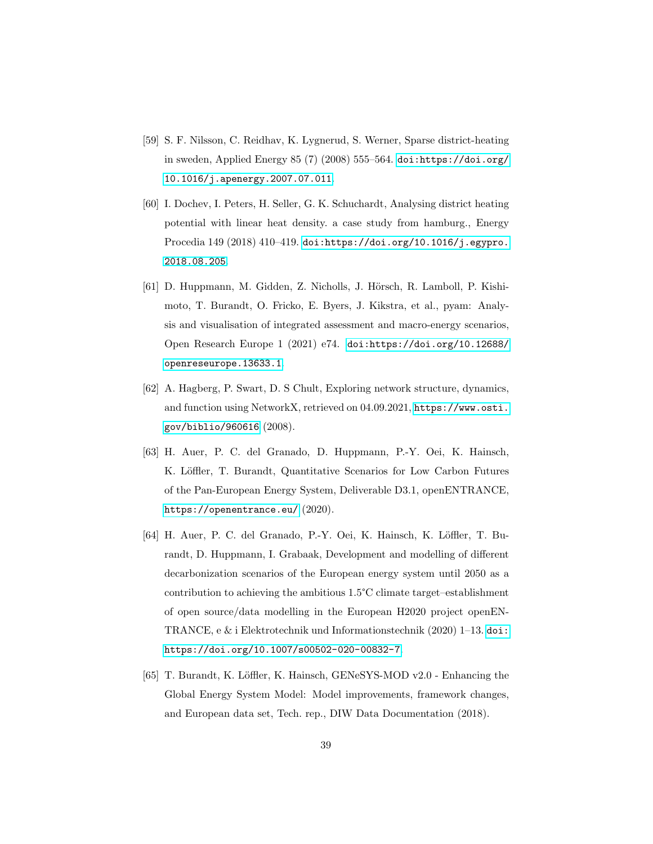- <span id="page-39-0"></span>[59] S. F. Nilsson, C. Reidhav, K. Lygnerud, S. Werner, Sparse district-heating in sweden, Applied Energy 85 (7) (2008) 555–564. [doi:https://doi.org/](https://doi.org/https://doi.org/10.1016/j.apenergy.2007.07.011) [10.1016/j.apenergy.2007.07.011](https://doi.org/https://doi.org/10.1016/j.apenergy.2007.07.011).
- <span id="page-39-1"></span>[60] I. Dochev, I. Peters, H. Seller, G. K. Schuchardt, Analysing district heating potential with linear heat density. a case study from hamburg., Energy Procedia 149 (2018) 410–419. [doi:https://doi.org/10.1016/j.egypro.](https://doi.org/https://doi.org/10.1016/j.egypro.2018.08.205) [2018.08.205](https://doi.org/https://doi.org/10.1016/j.egypro.2018.08.205).
- <span id="page-39-2"></span>[61] D. Huppmann, M. Gidden, Z. Nicholls, J. Hörsch, R. Lamboll, P. Kishimoto, T. Burandt, O. Fricko, E. Byers, J. Kikstra, et al., pyam: Analysis and visualisation of integrated assessment and macro-energy scenarios, Open Research Europe 1 (2021) e74. [doi:https://doi.org/10.12688/](https://doi.org/https://doi.org/10.12688/openreseurope.13633.1) [openreseurope.13633.1](https://doi.org/https://doi.org/10.12688/openreseurope.13633.1).
- <span id="page-39-3"></span>[62] A. Hagberg, P. Swart, D. S Chult, Exploring network structure, dynamics, and function using NetworkX, retrieved on 04.09.2021, [https://www.osti.](https://www.osti.gov/biblio/960616) [gov/biblio/960616](https://www.osti.gov/biblio/960616) (2008).
- <span id="page-39-4"></span>[63] H. Auer, P. C. del Granado, D. Huppmann, P.-Y. Oei, K. Hainsch, K. Löffler, T. Burandt, Quantitative Scenarios for Low Carbon Futures of the Pan-European Energy System, Deliverable D3.1, openENTRANCE, <https://openentrance.eu/> (2020).
- <span id="page-39-5"></span>[64] H. Auer, P. C. del Granado, P.-Y. Oei, K. Hainsch, K. Löffler, T. Burandt, D. Huppmann, I. Grabaak, Development and modelling of different decarbonization scenarios of the European energy system until 2050 as a contribution to achieving the ambitious 1.5°C climate target–establishment of open source/data modelling in the European H2020 project openEN-TRANCE, e & i Elektrotechnik und Informationstechnik (2020) 1–13. [doi:](https://doi.org/https://doi.org/10.1007/s00502-020-00832-7) [https://doi.org/10.1007/s00502-020-00832-7](https://doi.org/https://doi.org/10.1007/s00502-020-00832-7).
- <span id="page-39-6"></span>[65] T. Burandt, K. Löffler, K. Hainsch, GENeSYS-MOD v2.0 - Enhancing the Global Energy System Model: Model improvements, framework changes, and European data set, Tech. rep., DIW Data Documentation (2018).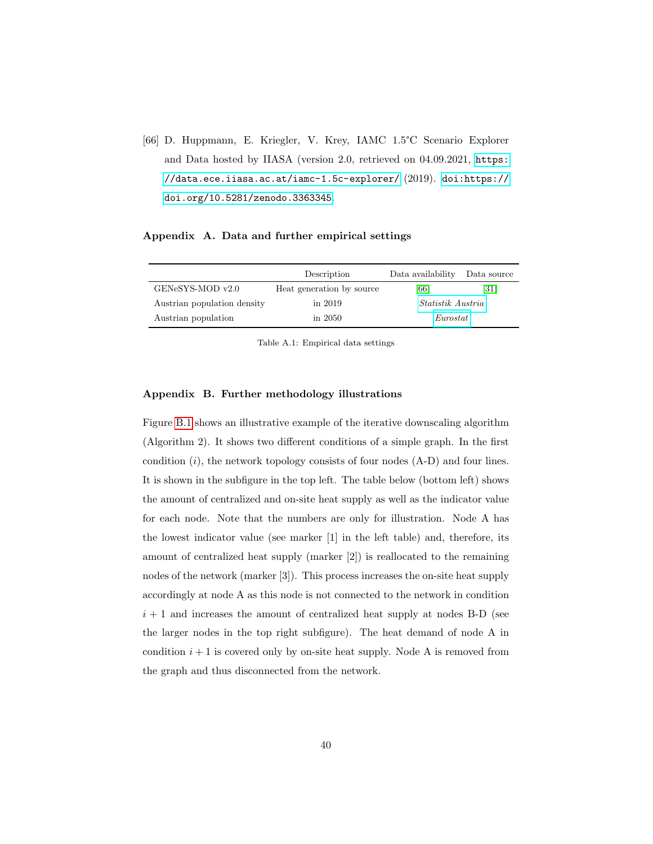<span id="page-40-0"></span>[66] D. Huppmann, E. Kriegler, V. Krey, IAMC 1.5°C Scenario Explorer and Data hosted by IIASA (version 2.0, retrieved on 04.09.2021, [https:](https://data.ece.iiasa.ac.at/iamc-1.5c-explorer/) [//data.ece.iiasa.ac.at/iamc-1.5c-explorer/](https://data.ece.iiasa.ac.at/iamc-1.5c-explorer/) (2019). [doi:https://](https://doi.org/https://doi.org/10.5281/zenodo.3363345) [doi.org/10.5281/zenodo.3363345](https://doi.org/https://doi.org/10.5281/zenodo.3363345).

#### Appendix A. Data and further empirical settings

|                             | Data availability<br>Description |                           | Data source |
|-----------------------------|----------------------------------|---------------------------|-------------|
| GENeSYS-MOD v2.0            | Heat generation by source        | [66]<br>$\left[31\right]$ |             |
| Austrian population density | in $2019$                        | <i>Statistik Austria</i>  |             |
| Austrian population         | in $2050$                        | Eurostat                  |             |

Table A.1: Empirical data settings

#### Appendix B. Further methodology illustrations

Figure [B.1](#page-41-0) shows an illustrative example of the iterative downscaling algorithm (Algorithm 2). It shows two different conditions of a simple graph. In the first condition  $(i)$ , the network topology consists of four nodes  $(A-D)$  and four lines. It is shown in the subfigure in the top left. The table below (bottom left) shows the amount of centralized and on-site heat supply as well as the indicator value for each node. Note that the numbers are only for illustration. Node A has the lowest indicator value (see marker [1] in the left table) and, therefore, its amount of centralized heat supply (marker [2]) is reallocated to the remaining nodes of the network (marker [3]). This process increases the on-site heat supply accordingly at node A as this node is not connected to the network in condition  $i + 1$  and increases the amount of centralized heat supply at nodes B-D (see the larger nodes in the top right subfigure). The heat demand of node A in condition  $i + 1$  is covered only by on-site heat supply. Node A is removed from the graph and thus disconnected from the network.